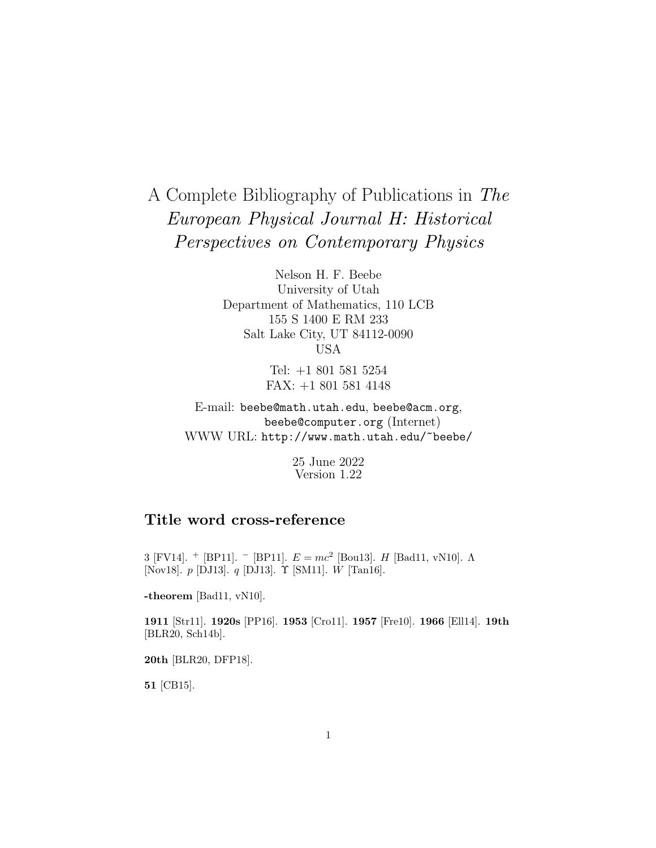# A Complete Bibliography of Publications in The European Physical Journal H: Historical Perspectives on Contemporary Physics

Nelson H. F. Beebe University of Utah Department of Mathematics, 110 LCB 155 S 1400 E RM 233 Salt Lake City, UT 84112-0090 USA

> Tel: +1 801 581 5254 FAX: +1 801 581 4148

E-mail: beebe@math.utah.edu, beebe@acm.org, beebe@computer.org (Internet) WWW URL: http://www.math.utah.edu/~beebe/

> 25 June 2022 Version 1.22

# **Title word cross-reference**

3 [FV14]. <sup>+</sup> [BP11]. <sup>-</sup> [BP11].  $E = mc^2$  [Bou13]. H [Bad11, vN10].  $\Lambda$ [Nov18]. p [DJ13]. q [DJ13]. Υ [SM11]. W [Tan16].

**-theorem** [Bad11, vN10].

**1911** [Str11]. **1920s** [PP16]. **1953** [Cro11]. **1957** [Fre10]. **1966** [Ell14]. **19th** [BLR20, Sch14b].

**20th** [BLR20, DFP18].

**51** [CB15].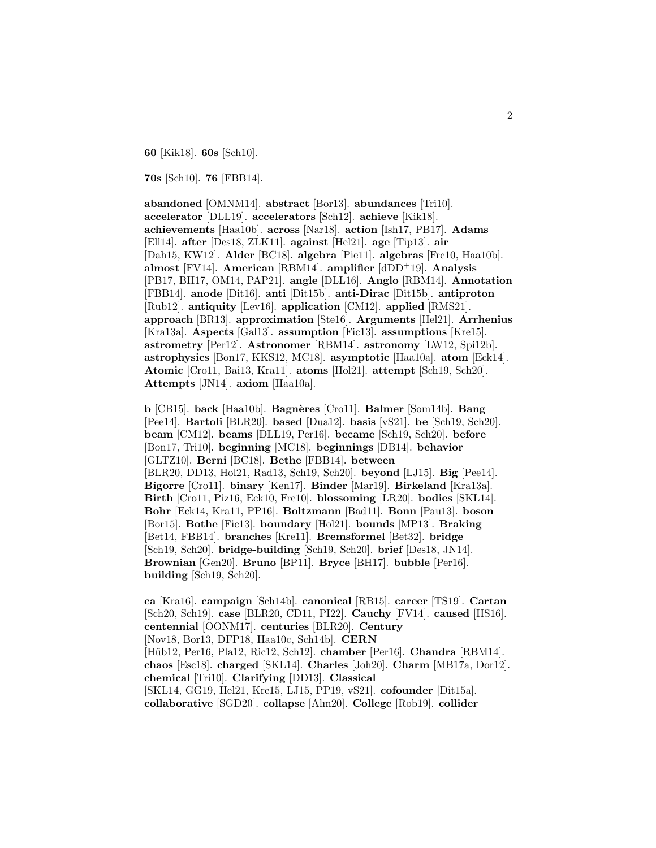**60** [Kik18]. **60s** [Sch10].

**70s** [Sch10]. **76** [FBB14].

**abandoned** [OMNM14]. **abstract** [Bor13]. **abundances** [Tri10]. **accelerator** [DLL19]. **accelerators** [Sch12]. **achieve** [Kik18]. **achievements** [Haa10b]. **across** [Nar18]. **action** [Ish17, PB17]. **Adams** [Ell14]. **after** [Des18, ZLK11]. **against** [Hel21]. **age** [Tip13]. **air** [Dah15, KW12]. **Alder** [BC18]. **algebra** [Pie11]. **algebras** [Fre10, Haa10b]. **almost** [FV14]. **American** [RBM14]. **amplifier** [dDD<sup>+</sup>19]. **Analysis** [PB17, BH17, OM14, PAP21]. **angle** [DLL16]. **Anglo** [RBM14]. **Annotation** [FBB14]. **anode** [Dit16]. **anti** [Dit15b]. **anti-Dirac** [Dit15b]. **antiproton** [Rub12]. **antiquity** [Lev16]. **application** [CM12]. **applied** [RMS21]. **approach** [BR13]. **approximation** [Ste16]. **Arguments** [Hel21]. **Arrhenius** [Kra13a]. **Aspects** [Gal13]. **assumption** [Fic13]. **assumptions** [Kre15]. **astrometry** [Per12]. **Astronomer** [RBM14]. **astronomy** [LW12, Spi12b]. **astrophysics** [Bon17, KKS12, MC18]. **asymptotic** [Haa10a]. **atom** [Eck14]. **Atomic** [Cro11, Bai13, Kra11]. **atoms** [Hol21]. **attempt** [Sch19, Sch20]. **Attempts** [JN14]. **axiom** [Haa10a].

**b** [CB15]. **back** [Haa10b]. **Bagn`eres** [Cro11]. **Balmer** [Som14b]. **Bang** [Pee14]. **Bartoli** [BLR20]. **based** [Dua12]. **basis** [vS21]. **be** [Sch19, Sch20]. **beam** [CM12]. **beams** [DLL19, Per16]. **became** [Sch19, Sch20]. **before** [Bon17, Tri10]. **beginning** [MC18]. **beginnings** [DB14]. **behavior** [GLTZ10]. **Berni** [BC18]. **Bethe** [FBB14]. **between** [BLR20, DD13, Hol21, Rad13, Sch19, Sch20]. **beyond** [LJ15]. **Big** [Pee14]. **Bigorre** [Cro11]. **binary** [Ken17]. **Binder** [Mar19]. **Birkeland** [Kra13a]. **Birth** [Cro11, Piz16, Eck10, Fre10]. **blossoming** [LR20]. **bodies** [SKL14]. **Bohr** [Eck14, Kra11, PP16]. **Boltzmann** [Bad11]. **Bonn** [Pau13]. **boson** [Bor15]. **Bothe** [Fic13]. **boundary** [Hol21]. **bounds** [MP13]. **Braking** [Bet14, FBB14]. **branches** [Kre11]. **Bremsformel** [Bet32]. **bridge** [Sch19, Sch20]. **bridge-building** [Sch19, Sch20]. **brief** [Des18, JN14]. **Brownian** [Gen20]. **Bruno** [BP11]. **Bryce** [BH17]. **bubble** [Per16]. **building** [Sch19, Sch20].

**ca** [Kra16]. **campaign** [Sch14b]. **canonical** [RB15]. **career** [TS19]. **Cartan** [Sch20, Sch19]. **case** [BLR20, CD11, PI22]. **Cauchy** [FV14]. **caused** [HS16]. **centennial** [OONM17]. **centuries** [BLR20]. **Century** [Nov18, Bor13, DFP18, Haa10c, Sch14b]. **CERN** [H¨ub12, Per16, Pla12, Ric12, Sch12]. **chamber** [Per16]. **Chandra** [RBM14]. **chaos** [Esc18]. **charged** [SKL14]. **Charles** [Joh20]. **Charm** [MB17a, Dor12]. **chemical** [Tri10]. **Clarifying** [DD13]. **Classical** [SKL14, GG19, Hel21, Kre15, LJ15, PP19, vS21]. **cofounder** [Dit15a]. **collaborative** [SGD20]. **collapse** [Alm20]. **College** [Rob19]. **collider**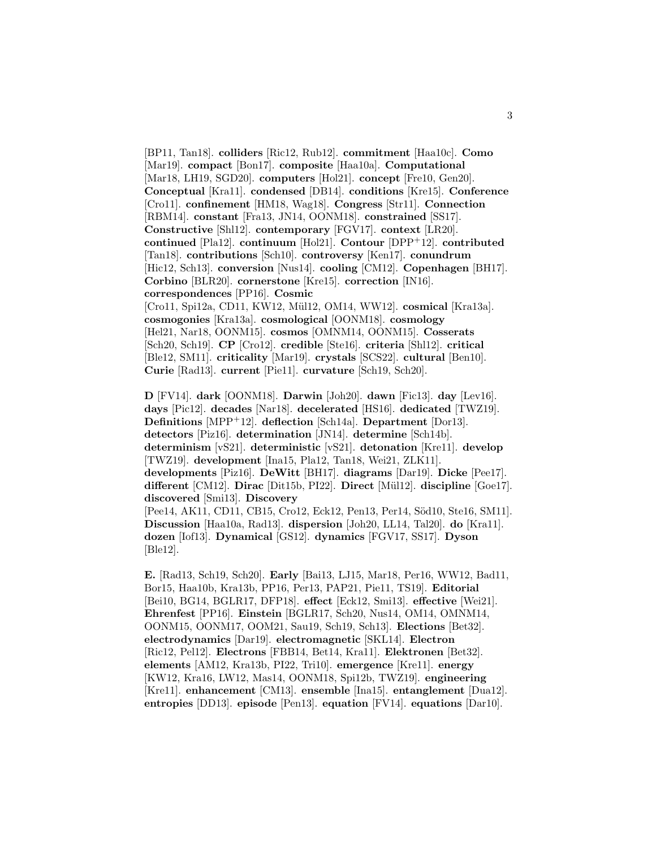[BP11, Tan18]. **colliders** [Ric12, Rub12]. **commitment** [Haa10c]. **Como** [Mar19]. **compact** [Bon17]. **composite** [Haa10a]. **Computational** [Mar18, LH19, SGD20]. **computers** [Hol21]. **concept** [Fre10, Gen20]. **Conceptual** [Kra11]. **condensed** [DB14]. **conditions** [Kre15]. **Conference** [Cro11]. **confinement** [HM18, Wag18]. **Congress** [Str11]. **Connection** [RBM14]. **constant** [Fra13, JN14, OONM18]. **constrained** [SS17]. **Constructive** [Shl12]. **contemporary** [FGV17]. **context** [LR20]. **continued** [Pla12]. **continuum** [Hol21]. **Contour** [DPP<sup>+</sup>12]. **contributed** [Tan18]. **contributions** [Sch10]. **controversy** [Ken17]. **conundrum** [Hic12, Sch13]. **conversion** [Nus14]. **cooling** [CM12]. **Copenhagen** [BH17]. **Corbino** [BLR20]. **cornerstone** [Kre15]. **correction** [IN16]. **correspondences** [PP16]. **Cosmic** [Cro11, Spi12a, CD11, KW12, Mül12, OM14, WW12]. **cosmical** [Kra13a]. **cosmogonies** [Kra13a]. **cosmological** [OONM18]. **cosmology** [Hel21, Nar18, OONM15]. **cosmos** [OMNM14, OONM15]. **Cosserats** [Sch20, Sch19]. **CP** [Cro12]. **credible** [Ste16]. **criteria** [Shl12]. **critical** [Ble12, SM11]. **criticality** [Mar19]. **crystals** [SCS22]. **cultural** [Ben10].

**Curie** [Rad13]. **current** [Pie11]. **curvature** [Sch19, Sch20].

**D** [FV14]. **dark** [OONM18]. **Darwin** [Joh20]. **dawn** [Fic13]. **day** [Lev16]. **days** [Pic12]. **decades** [Nar18]. **decelerated** [HS16]. **dedicated** [TWZ19]. **Definitions** [MPP<sup>+</sup>12]. **deflection** [Sch14a]. **Department** [Dor13]. **detectors** [Piz16]. **determination** [JN14]. **determine** [Sch14b]. **determinism** [vS21]. **deterministic** [vS21]. **detonation** [Kre11]. **develop** [TWZ19]. **development** [Ina15, Pla12, Tan18, Wei21, ZLK11]. **developments** [Piz16]. **DeWitt** [BH17]. **diagrams** [Dar19]. **Dicke** [Pee17]. **different** [CM12]. **Dirac** [Dit15b, PI22]. **Direct** [M¨ul12]. **discipline** [Goe17]. **discovered** [Smi13]. **Discovery** [Pee14, AK11, CD11, CB15, Cro12, Eck12, Pen13, Per14, Söd10, Ste16, SM11]. **Discussion** [Haa10a, Rad13]. **dispersion** [Joh20, LL14, Tal20]. **do** [Kra11]. **dozen** [Iof13]. **Dynamical** [GS12]. **dynamics** [FGV17, SS17]. **Dyson**

[Ble12].

**E.** [Rad13, Sch19, Sch20]. **Early** [Bai13, LJ15, Mar18, Per16, WW12, Bad11, Bor15, Haa10b, Kra13b, PP16, Per13, PAP21, Pie11, TS19]. **Editorial** [Bei10, BG14, BGLR17, DFP18]. **effect** [Eck12, Smi13]. **effective** [Wei21]. **Ehrenfest** [PP16]. **Einstein** [BGLR17, Sch20, Nus14, OM14, OMNM14, OONM15, OONM17, OOM21, Sau19, Sch19, Sch13]. **Elections** [Bet32]. **electrodynamics** [Dar19]. **electromagnetic** [SKL14]. **Electron** [Ric12, Pel12]. **Electrons** [FBB14, Bet14, Kra11]. **Elektronen** [Bet32]. **elements** [AM12, Kra13b, PI22, Tri10]. **emergence** [Kre11]. **energy** [KW12, Kra16, LW12, Mas14, OONM18, Spi12b, TWZ19]. **engineering** [Kre11]. **enhancement** [CM13]. **ensemble** [Ina15]. **entanglement** [Dua12]. **entropies** [DD13]. **episode** [Pen13]. **equation** [FV14]. **equations** [Dar10].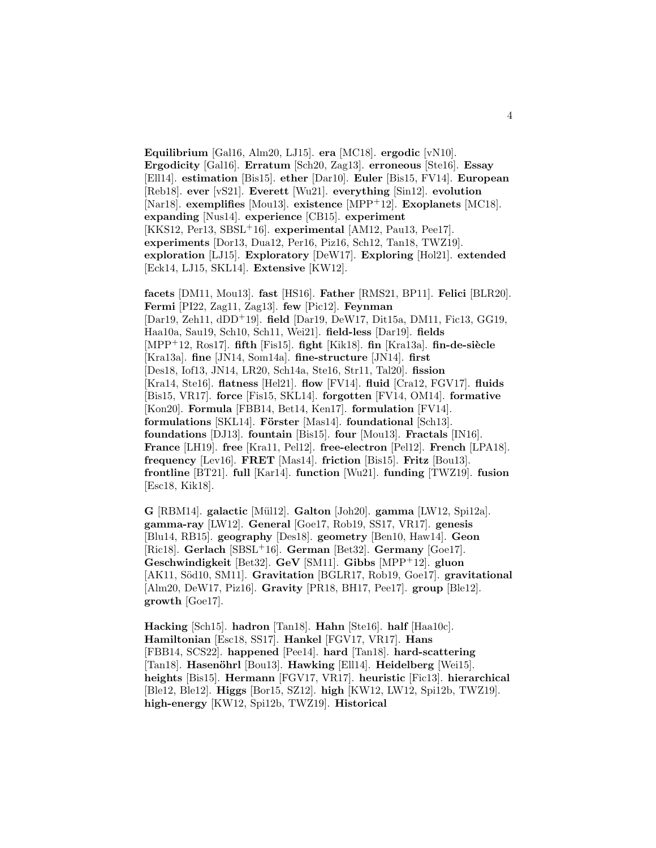**Equilibrium** [Gal16, Alm20, LJ15]. **era** [MC18]. **ergodic** [vN10]. **Ergodicity** [Gal16]. **Erratum** [Sch20, Zag13]. **erroneous** [Ste16]. **Essay** [Ell14]. **estimation** [Bis15]. **ether** [Dar10]. **Euler** [Bis15, FV14]. **European** [Reb18]. **ever** [vS21]. **Everett** [Wu21]. **everything** [Sin12]. **evolution** [Nar18]. **exemplifies** [Mou13]. **existence** [MPP<sup>+</sup>12]. **Exoplanets** [MC18]. **expanding** [Nus14]. **experience** [CB15]. **experiment** [KKS12, Per13, SBSL<sup>+</sup>16]. **experimental** [AM12, Pau13, Pee17]. **experiments** [Dor13, Dua12, Per16, Piz16, Sch12, Tan18, TWZ19]. **exploration** [LJ15]. **Exploratory** [DeW17]. **Exploring** [Hol21]. **extended** [Eck14, LJ15, SKL14]. **Extensive** [KW12].

**facets** [DM11, Mou13]. **fast** [HS16]. **Father** [RMS21, BP11]. **Felici** [BLR20]. **Fermi** [PI22, Zag11, Zag13]. **few** [Pic12]. **Feynman** [Dar19, Zeh11, dDD<sup>+</sup>19]. **field** [Dar19, DeW17, Dit15a, DM11, Fic13, GG19, Haa10a, Sau19, Sch10, Sch11, Wei21]. **field-less** [Dar19]. **fields** [MPP<sup>+</sup>12, Ros17]. **fifth** [Fis15]. **fight** [Kik18]. **fin** [Kra13a]. **fin-de-siècle** [Kra13a]. **fine** [JN14, Som14a]. **fine-structure** [JN14]. **first** [Des18, Iof13, JN14, LR20, Sch14a, Ste16, Str11, Tal20]. **fission** [Kra14, Ste16]. **flatness** [Hel21]. **flow** [FV14]. **fluid** [Cra12, FGV17]. **fluids** [Bis15, VR17]. **force** [Fis15, SKL14]. **forgotten** [FV14, OM14]. **formative** [Kon20]. **Formula** [FBB14, Bet14, Ken17]. **formulation** [FV14]. **formulations** [SKL14]. **Förster** [Mas14]. **foundational** [Sch13]. **foundations** [DJ13]. **fountain** [Bis15]. **four** [Mou13]. **Fractals** [IN16]. **France** [LH19]. **free** [Kra11, Pel12]. **free-electron** [Pel12]. **French** [LPA18]. **frequency** [Lev16]. **FRET** [Mas14]. **friction** [Bis15]. **Fritz** [Bou13]. **frontline** [BT21]. **full** [Kar14]. **function** [Wu21]. **funding** [TWZ19]. **fusion** [Esc18, Kik18].

**G** [RBM14]. **galactic** [M¨ul12]. **Galton** [Joh20]. **gamma** [LW12, Spi12a]. **gamma-ray** [LW12]. **General** [Goe17, Rob19, SS17, VR17]. **genesis** [Blu14, RB15]. **geography** [Des18]. **geometry** [Ben10, Haw14]. **Geon** [Ric18]. **Gerlach** [SBSL<sup>+</sup>16]. **German** [Bet32]. **Germany** [Goe17]. **Geschwindigkeit** [Bet32]. **GeV** [SM11]. **Gibbs** [MPP<sup>+</sup>12]. **gluon** [AK11, Söd10, SM11]. Gravitation [BGLR17, Rob19, Goe17]. gravitational [Alm20, DeW17, Piz16]. **Gravity** [PR18, BH17, Pee17]. **group** [Ble12]. **growth** [Goe17].

**Hacking** [Sch15]. **hadron** [Tan18]. **Hahn** [Ste16]. **half** [Haa10c]. **Hamiltonian** [Esc18, SS17]. **Hankel** [FGV17, VR17]. **Hans** [FBB14, SCS22]. **happened** [Pee14]. **hard** [Tan18]. **hard-scattering** [Tan18]. **Hasenöhrl** [Bou13]. **Hawking** [Ell14]. **Heidelberg** [Wei15]. **heights** [Bis15]. **Hermann** [FGV17, VR17]. **heuristic** [Fic13]. **hierarchical** [Ble12, Ble12]. **Higgs** [Bor15, SZ12]. **high** [KW12, LW12, Spi12b, TWZ19]. **high-energy** [KW12, Spi12b, TWZ19]. **Historical**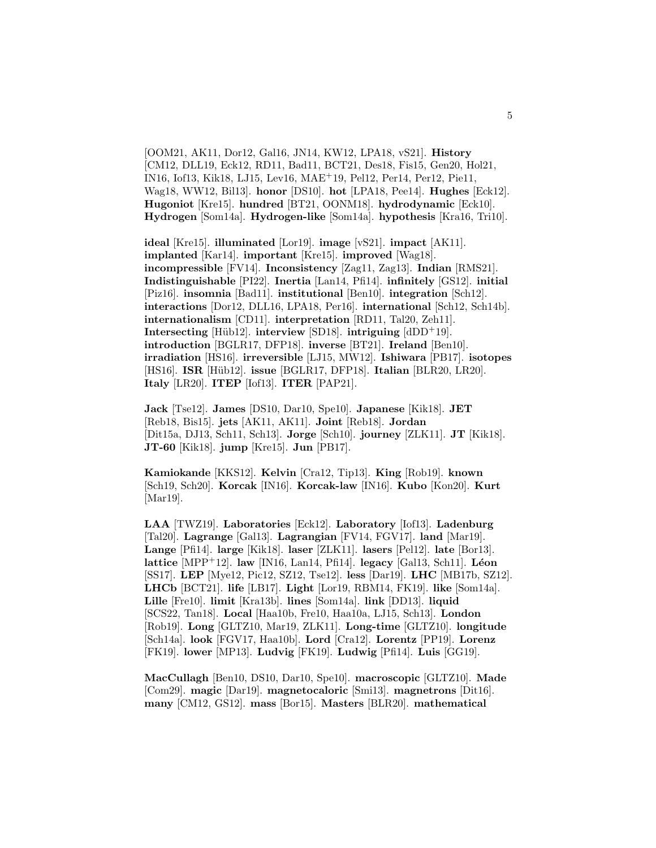[OOM21, AK11, Dor12, Gal16, JN14, KW12, LPA18, vS21]. **History** [CM12, DLL19, Eck12, RD11, Bad11, BCT21, Des18, Fis15, Gen20, Hol21, IN16, Iof13, Kik18, LJ15, Lev16, MAE<sup>+</sup>19, Pel12, Per14, Per12, Pie11, Wag18, WW12, Bil13]. **honor** [DS10]. **hot** [LPA18, Pee14]. **Hughes** [Eck12]. **Hugoniot** [Kre15]. **hundred** [BT21, OONM18]. **hydrodynamic** [Eck10]. **Hydrogen** [Som14a]. **Hydrogen-like** [Som14a]. **hypothesis** [Kra16, Tri10].

**ideal** [Kre15]. **illuminated** [Lor19]. **image** [vS21]. **impact** [AK11]. **implanted** [Kar14]. **important** [Kre15]. **improved** [Wag18]. **incompressible** [FV14]. **Inconsistency** [Zag11, Zag13]. **Indian** [RMS21]. **Indistinguishable** [PI22]. **Inertia** [Lan14, Pfi14]. **infinitely** [GS12]. **initial** [Piz16]. **insomnia** [Bad11]. **institutional** [Ben10]. **integration** [Sch12]. **interactions** [Dor12, DLL16, LPA18, Per16]. **international** [Sch12, Sch14b]. **internationalism** [CD11]. **interpretation** [RD11, Tal20, Zeh11]. **Intersecting** [Hüb12]. **interview** [SD18]. **intriguing**  $[dDD+19]$ . **introduction** [BGLR17, DFP18]. **inverse** [BT21]. **Ireland** [Ben10]. **irradiation** [HS16]. **irreversible** [LJ15, MW12]. **Ishiwara** [PB17]. **isotopes** [HS16]. **ISR** [Hüb12]. **issue** [BGLR17, DFP18]. **Italian** [BLR20, LR20]. **Italy** [LR20]. **ITEP** [Iof13]. **ITER** [PAP21].

**Jack** [Tse12]. **James** [DS10, Dar10, Spe10]. **Japanese** [Kik18]. **JET** [Reb18, Bis15]. **jets** [AK11, AK11]. **Joint** [Reb18]. **Jordan** [Dit15a, DJ13, Sch11, Sch13]. **Jorge** [Sch10]. **journey** [ZLK11]. **JT** [Kik18]. **JT-60** [Kik18]. **jump** [Kre15]. **Jun** [PB17].

**Kamiokande** [KKS12]. **Kelvin** [Cra12, Tip13]. **King** [Rob19]. **known** [Sch19, Sch20]. **Korcak** [IN16]. **Korcak-law** [IN16]. **Kubo** [Kon20]. **Kurt** [Mar19].

**LAA** [TWZ19]. **Laboratories** [Eck12]. **Laboratory** [Iof13]. **Ladenburg** [Tal20]. **Lagrange** [Gal13]. **Lagrangian** [FV14, FGV17]. **land** [Mar19]. **Lange** [Pfi14]. **large** [Kik18]. **laser** [ZLK11]. **lasers** [Pel12]. **late** [Bor13]. **lattice** [MPP<sup>+</sup>12]. **law** [IN16, Lan14, Pfi14]. **legacy** [Gal13, Sch11]. **L´eon** [SS17]. **LEP** [Mye12, Pic12, SZ12, Tse12]. **less** [Dar19]. **LHC** [MB17b, SZ12]. **LHCb** [BCT21]. **life** [LB17]. **Light** [Lor19, RBM14, FK19]. **like** [Som14a]. **Lille** [Fre10]. **limit** [Kra13b]. **lines** [Som14a]. **link** [DD13]. **liquid** [SCS22, Tan18]. **Local** [Haa10b, Fre10, Haa10a, LJ15, Sch13]. **London** [Rob19]. **Long** [GLTZ10, Mar19, ZLK11]. **Long-time** [GLTZ10]. **longitude** [Sch14a]. **look** [FGV17, Haa10b]. **Lord** [Cra12]. **Lorentz** [PP19]. **Lorenz** [FK19]. **lower** [MP13]. **Ludvig** [FK19]. **Ludwig** [Pfi14]. **Luis** [GG19].

**MacCullagh** [Ben10, DS10, Dar10, Spe10]. **macroscopic** [GLTZ10]. **Made** [Com29]. **magic** [Dar19]. **magnetocaloric** [Smi13]. **magnetrons** [Dit16]. **many** [CM12, GS12]. **mass** [Bor15]. **Masters** [BLR20]. **mathematical**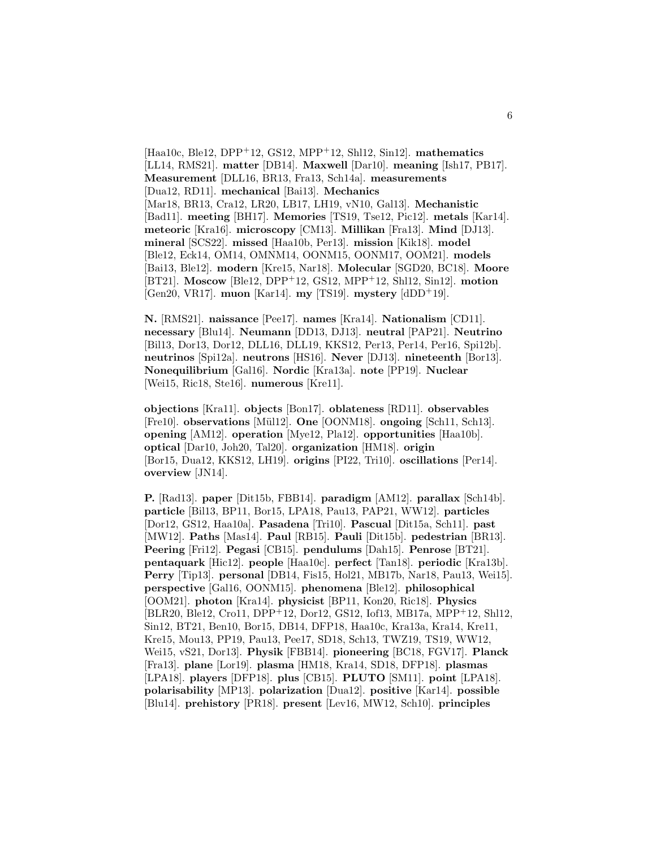[Haa10c, Ble12, DPP<sup>+</sup>12, GS12, MPP<sup>+</sup>12, Shl12, Sin12]. **mathematics** [LL14, RMS21]. **matter** [DB14]. **Maxwell** [Dar10]. **meaning** [Ish17, PB17]. **Measurement** [DLL16, BR13, Fra13, Sch14a]. **measurements** [Dua12, RD11]. **mechanical** [Bai13]. **Mechanics** [Mar18, BR13, Cra12, LR20, LB17, LH19, vN10, Gal13]. **Mechanistic** [Bad11]. **meeting** [BH17]. **Memories** [TS19, Tse12, Pic12]. **metals** [Kar14]. **meteoric** [Kra16]. **microscopy** [CM13]. **Millikan** [Fra13]. **Mind** [DJ13]. **mineral** [SCS22]. **missed** [Haa10b, Per13]. **mission** [Kik18]. **model** [Ble12, Eck14, OM14, OMNM14, OONM15, OONM17, OOM21]. **models** [Bai13, Ble12]. **modern** [Kre15, Nar18]. **Molecular** [SGD20, BC18]. **Moore** [BT21]. **Moscow** [Ble12, DPP<sup>+</sup>12, GS12, MPP<sup>+</sup>12, Shl12, Sin12]. **motion** [Gen20, VR17]. **muon** [Kar14]. **my** [TS19]. **mystery** [dDD<sup>+</sup>19].

**N.** [RMS21]. **naissance** [Pee17]. **names** [Kra14]. **Nationalism** [CD11]. **necessary** [Blu14]. **Neumann** [DD13, DJ13]. **neutral** [PAP21]. **Neutrino** [Bil13, Dor13, Dor12, DLL16, DLL19, KKS12, Per13, Per14, Per16, Spi12b]. **neutrinos** [Spi12a]. **neutrons** [HS16]. **Never** [DJ13]. **nineteenth** [Bor13]. **Nonequilibrium** [Gal16]. **Nordic** [Kra13a]. **note** [PP19]. **Nuclear** [Wei15, Ric18, Ste16]. **numerous** [Kre11].

**objections** [Kra11]. **objects** [Bon17]. **oblateness** [RD11]. **observables** [Fre10]. **observations** [Mül12]. **One** [OONM18]. **ongoing** [Sch11, Sch13]. **opening** [AM12]. **operation** [Mye12, Pla12]. **opportunities** [Haa10b]. **optical** [Dar10, Joh20, Tal20]. **organization** [HM18]. **origin** [Bor15, Dua12, KKS12, LH19]. **origins** [PI22, Tri10]. **oscillations** [Per14]. **overview** [JN14].

**P.** [Rad13]. **paper** [Dit15b, FBB14]. **paradigm** [AM12]. **parallax** [Sch14b]. **particle** [Bil13, BP11, Bor15, LPA18, Pau13, PAP21, WW12]. **particles** [Dor12, GS12, Haa10a]. **Pasadena** [Tri10]. **Pascual** [Dit15a, Sch11]. **past** [MW12]. **Paths** [Mas14]. **Paul** [RB15]. **Pauli** [Dit15b]. **pedestrian** [BR13]. **Peering** [Fri12]. **Pegasi** [CB15]. **pendulums** [Dah15]. **Penrose** [BT21]. **pentaquark** [Hic12]. **people** [Haa10c]. **perfect** [Tan18]. **periodic** [Kra13b]. **Perry** [Tip13]. **personal** [DB14, Fis15, Hol21, MB17b, Nar18, Pau13, Wei15]. **perspective** [Gal16, OONM15]. **phenomena** [Ble12]. **philosophical** [OOM21]. **photon** [Kra14]. **physicist** [BP11, Kon20, Ric18]. **Physics** [BLR20, Ble12, Cro11, DPP<sup>+</sup>12, Dor12, GS12, Iof13, MB17a, MPP<sup>+</sup>12, Shl12, Sin12, BT21, Ben10, Bor15, DB14, DFP18, Haa10c, Kra13a, Kra14, Kre11, Kre15, Mou13, PP19, Pau13, Pee17, SD18, Sch13, TWZ19, TS19, WW12, Wei15, vS21, Dor13]. **Physik** [FBB14]. **pioneering** [BC18, FGV17]. **Planck** [Fra13]. **plane** [Lor19]. **plasma** [HM18, Kra14, SD18, DFP18]. **plasmas** [LPA18]. **players** [DFP18]. **plus** [CB15]. **PLUTO** [SM11]. **point** [LPA18]. **polarisability** [MP13]. **polarization** [Dua12]. **positive** [Kar14]. **possible** [Blu14]. **prehistory** [PR18]. **present** [Lev16, MW12, Sch10]. **principles**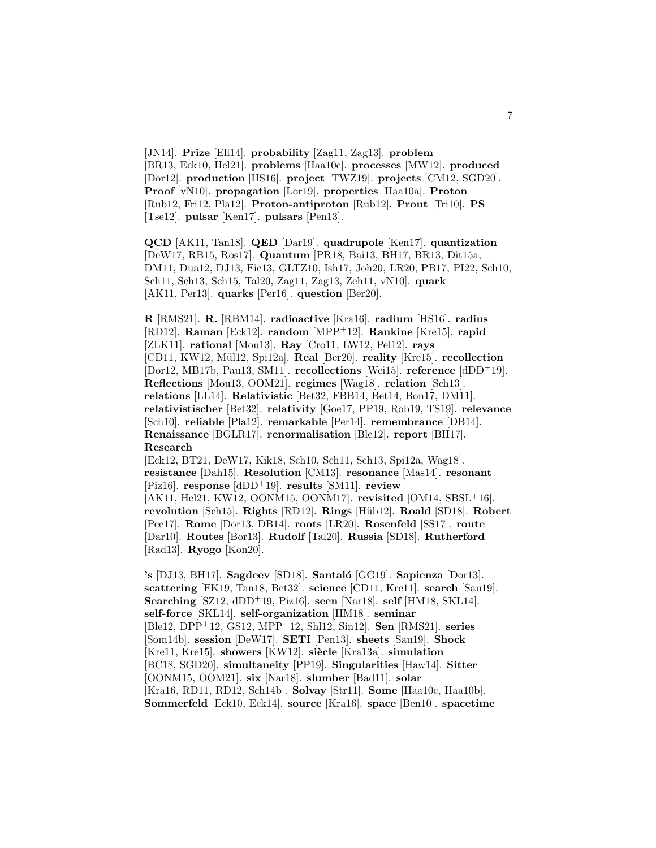[JN14]. **Prize** [Ell14]. **probability** [Zag11, Zag13]. **problem** [BR13, Eck10, Hel21]. **problems** [Haa10c]. **processes** [MW12]. **produced** [Dor12]. **production** [HS16]. **project** [TWZ19]. **projects** [CM12, SGD20]. **Proof** [vN10]. **propagation** [Lor19]. **properties** [Haa10a]. **Proton** [Rub12, Fri12, Pla12]. **Proton-antiproton** [Rub12]. **Prout** [Tri10]. **PS** [Tse12]. **pulsar** [Ken17]. **pulsars** [Pen13].

**QCD** [AK11, Tan18]. **QED** [Dar19]. **quadrupole** [Ken17]. **quantization** [DeW17, RB15, Ros17]. **Quantum** [PR18, Bai13, BH17, BR13, Dit15a, DM11, Dua12, DJ13, Fic13, GLTZ10, Ish17, Joh20, LR20, PB17, PI22, Sch10, Sch11, Sch13, Sch15, Tal20, Zag11, Zag13, Zeh11, vN10]. **quark** [AK11, Per13]. **quarks** [Per16]. **question** [Ber20].

**R** [RMS21]. **R.** [RBM14]. **radioactive** [Kra16]. **radium** [HS16]. **radius** [RD12]. **Raman** [Eck12]. **random** [MPP<sup>+</sup>12]. **Rankine** [Kre15]. **rapid** [ZLK11]. **rational** [Mou13]. **Ray** [Cro11, LW12, Pel12]. **rays** [CD11, KW12, M¨ul12, Spi12a]. **Real** [Ber20]. **reality** [Kre15]. **recollection** [Dor12, MB17b, Pau13, SM11]. **recollections** [Wei15]. **reference** [dDD<sup>+</sup>19]. **Reflections** [Mou13, OOM21]. **regimes** [Wag18]. **relation** [Sch13]. **relations** [LL14]. **Relativistic** [Bet32, FBB14, Bet14, Bon17, DM11]. **relativistischer** [Bet32]. **relativity** [Goe17, PP19, Rob19, TS19]. **relevance** [Sch10]. **reliable** [Pla12]. **remarkable** [Per14]. **remembrance** [DB14]. **Renaissance** [BGLR17]. **renormalisation** [Ble12]. **report** [BH17]. **Research**

[Eck12, BT21, DeW17, Kik18, Sch10, Sch11, Sch13, Spi12a, Wag18]. **resistance** [Dah15]. **Resolution** [CM13]. **resonance** [Mas14]. **resonant** [Piz16]. **response** [dDD<sup>+</sup>19]. **results** [SM11]. **review** [AK11, Hel21, KW12, OONM15, OONM17]. **revisited** [OM14, SBSL<sup>+</sup>16]. **revolution** [Sch15]. **Rights** [RD12]. **Rings** [H¨ub12]. **Roald** [SD18]. **Robert** [Pee17]. **Rome** [Dor13, DB14]. **roots** [LR20]. **Rosenfeld** [SS17]. **route** [Dar10]. **Routes** [Bor13]. **Rudolf** [Tal20]. **Russia** [SD18]. **Rutherford** [Rad13]. **Ryogo** [Kon20].

**'s** [DJ13, BH17]. **Sagdeev** [SD18]. **Santal´o** [GG19]. **Sapienza** [Dor13]. **scattering** [FK19, Tan18, Bet32]. **science** [CD11, Kre11]. **search** [Sau19]. **Searching** [SZ12, dDD<sup>+</sup>19, Piz16]. **seen** [Nar18]. **self** [HM18, SKL14]. **self-force** [SKL14]. **self-organization** [HM18]. **seminar** [Ble12, DPP<sup>+</sup>12, GS12, MPP<sup>+</sup>12, Shl12, Sin12]. **Sen** [RMS21]. **series** [Som14b]. **session** [DeW17]. **SETI** [Pen13]. **sheets** [Sau19]. **Shock** [Kre11, Kre15]. **showers** [KW12]. **siècle** [Kra13a]. **simulation** [BC18, SGD20]. **simultaneity** [PP19]. **Singularities** [Haw14]. **Sitter** [OONM15, OOM21]. **six** [Nar18]. **slumber** [Bad11]. **solar** [Kra16, RD11, RD12, Sch14b]. **Solvay** [Str11]. **Some** [Haa10c, Haa10b]. **Sommerfeld** [Eck10, Eck14]. **source** [Kra16]. **space** [Ben10]. **spacetime**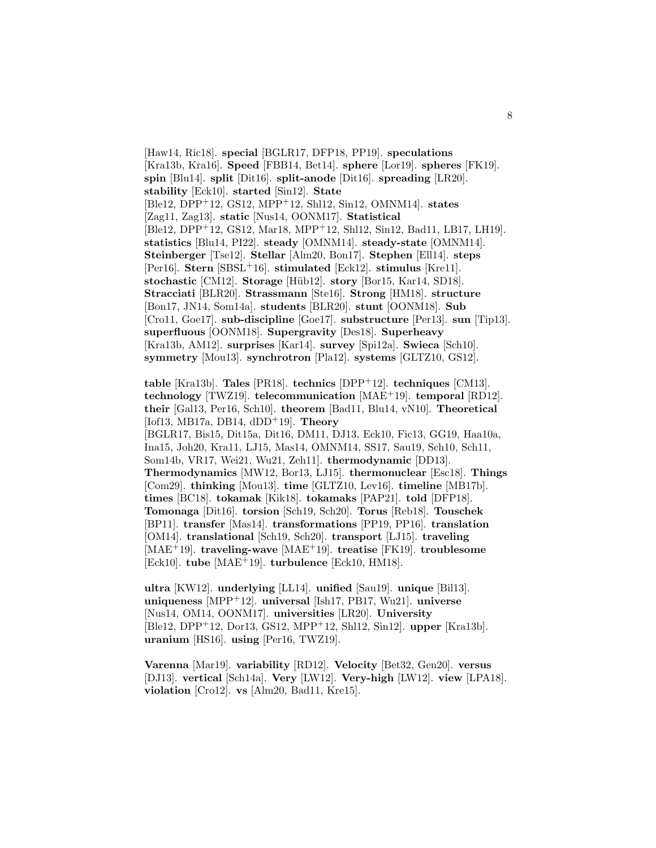[Haw14, Ric18]. **special** [BGLR17, DFP18, PP19]. **speculations** [Kra13b, Kra16]. **Speed** [FBB14, Bet14]. **sphere** [Lor19]. **spheres** [FK19]. **spin** [Blu14]. **split** [Dit16]. **split-anode** [Dit16]. **spreading** [LR20]. **stability** [Eck10]. **started** [Sin12]. **State** [Ble12, DPP<sup>+</sup>12, GS12, MPP<sup>+</sup>12, Shl12, Sin12, OMNM14]. **states** [Zag11, Zag13]. **static** [Nus14, OONM17]. **Statistical** [Ble12, DPP<sup>+</sup>12, GS12, Mar18, MPP<sup>+</sup>12, Shl12, Sin12, Bad11, LB17, LH19]. **statistics** [Blu14, PI22]. **steady** [OMNM14]. **steady-state** [OMNM14]. **Steinberger** [Tse12]. **Stellar** [Alm20, Bon17]. **Stephen** [Ell14]. **steps** [Per16]. **Stern** [SBSL<sup>+</sup>16]. **stimulated** [Eck12]. **stimulus** [Kre11]. **stochastic** [CM12]. **Storage** [Hüb12]. **story** [Bor15, Kar14, SD18]. **Stracciati** [BLR20]. **Strassmann** [Ste16]. **Strong** [HM18]. **structure** [Bon17, JN14, Som14a]. **students** [BLR20]. **stunt** [OONM18]. **Sub** [Cro11, Goe17]. **sub-discipline** [Goe17]. **substructure** [Per13]. **sun** [Tip13]. **superfluous** [OONM18]. **Supergravity** [Des18]. **Superheavy** [Kra13b, AM12]. **surprises** [Kar14]. **survey** [Spi12a]. **Swieca** [Sch10]. **symmetry** [Mou13]. **synchrotron** [Pla12]. **systems** [GLTZ10, GS12].

**table** [Kra13b]. **Tales** [PR18]. **technics** [DPP<sup>+</sup>12]. **techniques** [CM13]. **technology** [TWZ19]. **telecommunication** [MAE<sup>+</sup>19]. **temporal** [RD12]. **their** [Gal13, Per16, Sch10]. **theorem** [Bad11, Blu14, vN10]. **Theoretical** [Iof13, MB17a, DB14, dDD<sup>+</sup>19]. **Theory** [BGLR17, Bis15, Dit15a, Dit16, DM11, DJ13, Eck10, Fic13, GG19, Haa10a, Ina15, Joh20, Kra11, LJ15, Mas14, OMNM14, SS17, Sau19, Sch10, Sch11, Som14b, VR17, Wei21, Wu21, Zeh11]. **thermodynamic** [DD13]. **Thermodynamics** [MW12, Bor13, LJ15]. **thermonuclear** [Esc18]. **Things** [Com29]. **thinking** [Mou13]. **time** [GLTZ10, Lev16]. **timeline** [MB17b]. **times** [BC18]. **tokamak** [Kik18]. **tokamaks** [PAP21]. **told** [DFP18]. **Tomonaga** [Dit16]. **torsion** [Sch19, Sch20]. **Torus** [Reb18]. **Touschek** [BP11]. **transfer** [Mas14]. **transformations** [PP19, PP16]. **translation** [OM14]. **translational** [Sch19, Sch20]. **transport** [LJ15]. **traveling** [MAE<sup>+</sup>19]. **traveling-wave** [MAE<sup>+</sup>19]. **treatise** [FK19]. **troublesome** [Eck10]. **tube** [MAE<sup>+</sup>19]. **turbulence** [Eck10, HM18].

**ultra** [KW12]. **underlying** [LL14]. **unified** [Sau19]. **unique** [Bil13]. **uniqueness** [MPP<sup>+</sup>12]. **universal** [Ish17, PB17, Wu21]. **universe** [Nus14, OM14, OONM17]. **universities** [LR20]. **University** [Ble12, DPP<sup>+</sup>12, Dor13, GS12, MPP<sup>+</sup>12, Shl12, Sin12]. **upper** [Kra13b]. **uranium** [HS16]. **using** [Per16, TWZ19].

**Varenna** [Mar19]. **variability** [RD12]. **Velocity** [Bet32, Gen20]. **versus** [DJ13]. **vertical** [Sch14a]. **Very** [LW12]. **Very-high** [LW12]. **view** [LPA18]. **violation** [Cro12]. **vs** [Alm20, Bad11, Kre15].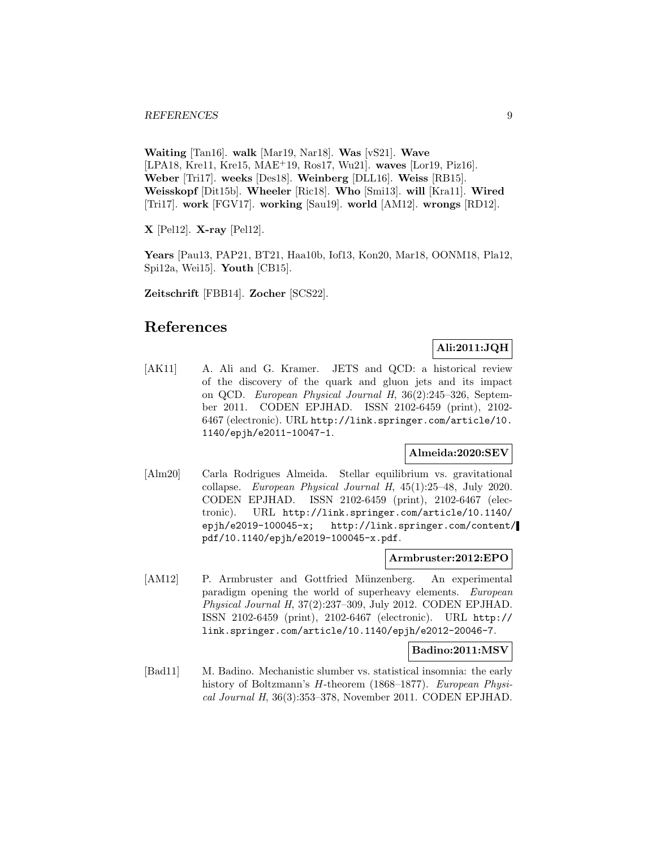**Waiting** [Tan16]. **walk** [Mar19, Nar18]. **Was** [vS21]. **Wave** [LPA18, Kre11, Kre15, MAE<sup>+</sup>19, Ros17, Wu21]. **waves** [Lor19, Piz16]. **Weber** [Tri17]. **weeks** [Des18]. **Weinberg** [DLL16]. **Weiss** [RB15]. **Weisskopf** [Dit15b]. **Wheeler** [Ric18]. **Who** [Smi13]. **will** [Kra11]. **Wired** [Tri17]. **work** [FGV17]. **working** [Sau19]. **world** [AM12]. **wrongs** [RD12].

**X** [Pel12]. **X-ray** [Pel12].

**Years** [Pau13, PAP21, BT21, Haa10b, Iof13, Kon20, Mar18, OONM18, Pla12, Spi12a, Wei15]. **Youth** [CB15].

**Zeitschrift** [FBB14]. **Zocher** [SCS22].

# **References**

# **Ali:2011:JQH**

[AK11] A. Ali and G. Kramer. JETS and QCD: a historical review of the discovery of the quark and gluon jets and its impact on QCD. European Physical Journal H, 36(2):245–326, September 2011. CODEN EPJHAD. ISSN 2102-6459 (print), 2102- 6467 (electronic). URL http://link.springer.com/article/10. 1140/epjh/e2011-10047-1.

# **Almeida:2020:SEV**

[Alm20] Carla Rodrigues Almeida. Stellar equilibrium vs. gravitational collapse. European Physical Journal H, 45(1):25–48, July 2020. CODEN EPJHAD. ISSN 2102-6459 (print), 2102-6467 (electronic). URL http://link.springer.com/article/10.1140/ epjh/e2019-100045-x; http://link.springer.com/content/ pdf/10.1140/epjh/e2019-100045-x.pdf.

#### **Armbruster:2012:EPO**

[AM12] P. Armbruster and Gottfried Münzenberg. An experimental paradigm opening the world of superheavy elements. European Physical Journal H, 37(2):237–309, July 2012. CODEN EPJHAD. ISSN 2102-6459 (print), 2102-6467 (electronic). URL http:// link.springer.com/article/10.1140/epjh/e2012-20046-7.

#### **Badino:2011:MSV**

[Bad11] M. Badino. Mechanistic slumber vs. statistical insomnia: the early history of Boltzmann's H-theorem (1868–1877). European Physical Journal H, 36(3):353–378, November 2011. CODEN EPJHAD.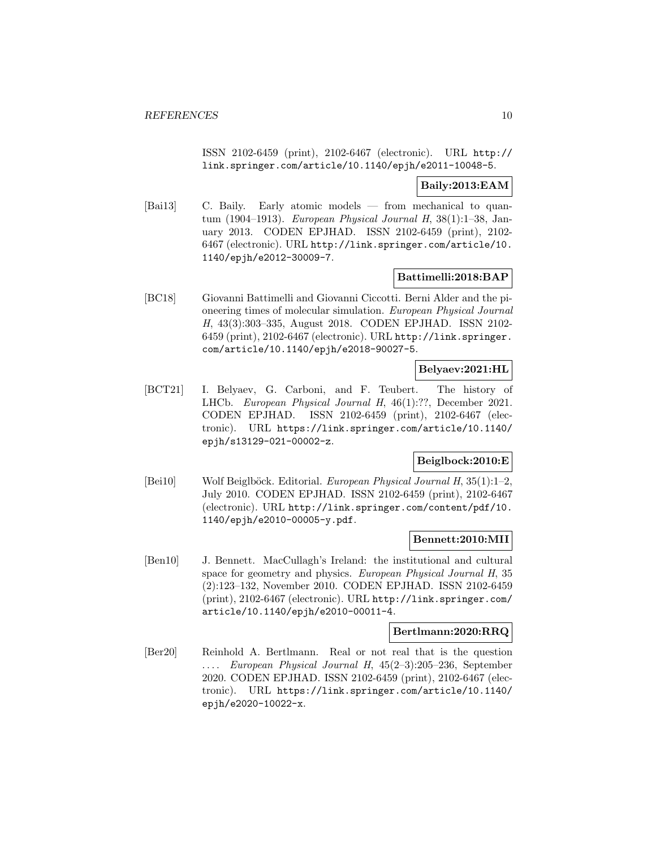ISSN 2102-6459 (print), 2102-6467 (electronic). URL http:// link.springer.com/article/10.1140/epjh/e2011-10048-5.

# **Baily:2013:EAM**

[Bai13] C. Baily. Early atomic models — from mechanical to quantum (1904–1913). European Physical Journal H, 38(1):1–38, January 2013. CODEN EPJHAD. ISSN 2102-6459 (print), 2102- 6467 (electronic). URL http://link.springer.com/article/10. 1140/epjh/e2012-30009-7.

# **Battimelli:2018:BAP**

[BC18] Giovanni Battimelli and Giovanni Ciccotti. Berni Alder and the pioneering times of molecular simulation. European Physical Journal H, 43(3):303–335, August 2018. CODEN EPJHAD. ISSN 2102- 6459 (print), 2102-6467 (electronic). URL http://link.springer. com/article/10.1140/epjh/e2018-90027-5.

# **Belyaev:2021:HL**

[BCT21] I. Belyaev, G. Carboni, and F. Teubert. The history of LHCb. European Physical Journal H, 46(1):??, December 2021. CODEN EPJHAD. ISSN 2102-6459 (print), 2102-6467 (electronic). URL https://link.springer.com/article/10.1140/ epjh/s13129-021-00002-z.

# **Beiglbock:2010:E**

[Bei10] Wolf Beiglböck. Editorial. European Physical Journal H, 35(1):1-2, July 2010. CODEN EPJHAD. ISSN 2102-6459 (print), 2102-6467 (electronic). URL http://link.springer.com/content/pdf/10. 1140/epjh/e2010-00005-y.pdf.

#### **Bennett:2010:MII**

[Ben10] J. Bennett. MacCullagh's Ireland: the institutional and cultural space for geometry and physics. European Physical Journal H, 35 (2):123–132, November 2010. CODEN EPJHAD. ISSN 2102-6459 (print), 2102-6467 (electronic). URL http://link.springer.com/ article/10.1140/epjh/e2010-00011-4.

#### **Bertlmann:2020:RRQ**

[Ber20] Reinhold A. Bertlmann. Real or not real that is the question ... . European Physical Journal H, 45(2–3):205–236, September 2020. CODEN EPJHAD. ISSN 2102-6459 (print), 2102-6467 (electronic). URL https://link.springer.com/article/10.1140/ epjh/e2020-10022-x.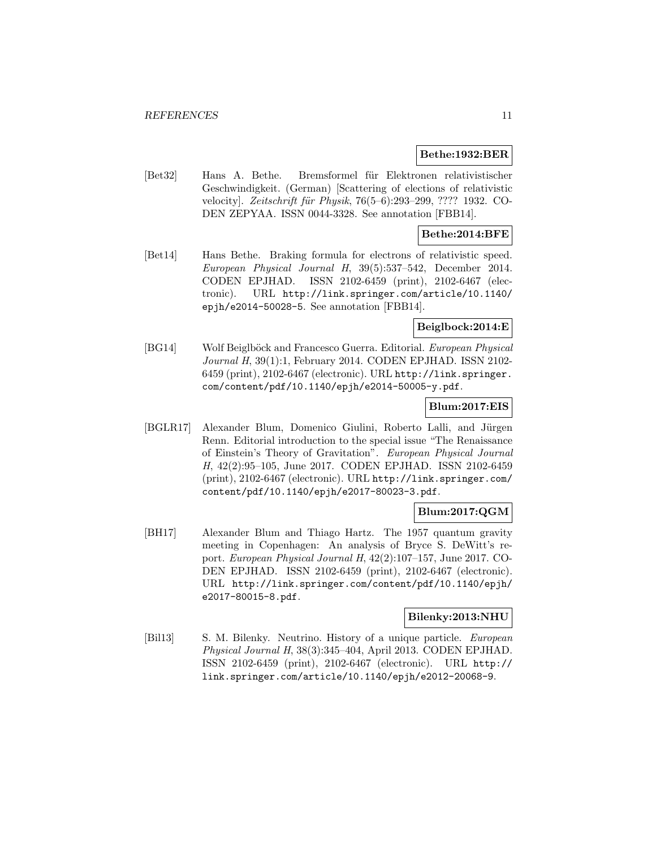#### **Bethe:1932:BER**

[Bet32] Hans A. Bethe. Bremsformel für Elektronen relativistischer Geschwindigkeit. (German) [Scattering of elections of relativistic velocity]. Zeitschrift für Physik, 76(5–6):293–299, ???? 1932. CO-DEN ZEPYAA. ISSN 0044-3328. See annotation [FBB14].

# **Bethe:2014:BFE**

[Bet14] Hans Bethe. Braking formula for electrons of relativistic speed. European Physical Journal H, 39(5):537–542, December 2014. CODEN EPJHAD. ISSN 2102-6459 (print), 2102-6467 (electronic). URL http://link.springer.com/article/10.1140/ epjh/e2014-50028-5. See annotation [FBB14].

# **Beiglbock:2014:E**

[BG14] Wolf Beiglböck and Francesco Guerra. Editorial. European Physical Journal H, 39(1):1, February 2014. CODEN EPJHAD. ISSN 2102- 6459 (print), 2102-6467 (electronic). URL http://link.springer. com/content/pdf/10.1140/epjh/e2014-50005-y.pdf.

#### **Blum:2017:EIS**

[BGLR17] Alexander Blum, Domenico Giulini, Roberto Lalli, and Jürgen Renn. Editorial introduction to the special issue "The Renaissance of Einstein's Theory of Gravitation". European Physical Journal H, 42(2):95–105, June 2017. CODEN EPJHAD. ISSN 2102-6459 (print), 2102-6467 (electronic). URL http://link.springer.com/ content/pdf/10.1140/epjh/e2017-80023-3.pdf.

# **Blum:2017:QGM**

[BH17] Alexander Blum and Thiago Hartz. The 1957 quantum gravity meeting in Copenhagen: An analysis of Bryce S. DeWitt's report. European Physical Journal H, 42(2):107–157, June 2017. CO-DEN EPJHAD. ISSN 2102-6459 (print), 2102-6467 (electronic). URL http://link.springer.com/content/pdf/10.1140/epjh/ e2017-80015-8.pdf.

# **Bilenky:2013:NHU**

[Bil13] S. M. Bilenky. Neutrino. History of a unique particle. European Physical Journal H, 38(3):345–404, April 2013. CODEN EPJHAD. ISSN 2102-6459 (print), 2102-6467 (electronic). URL http:// link.springer.com/article/10.1140/epjh/e2012-20068-9.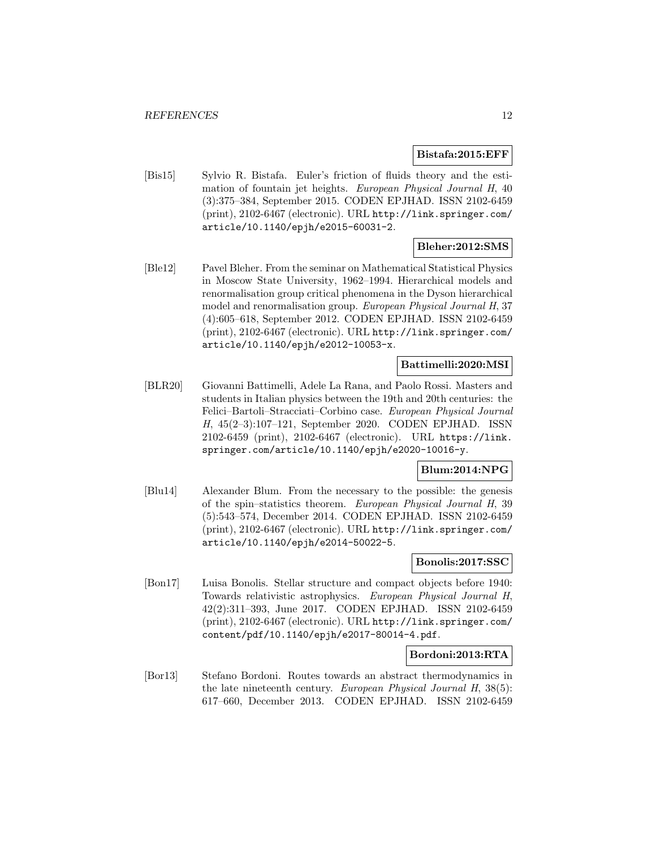#### **Bistafa:2015:EFF**

[Bis15] Sylvio R. Bistafa. Euler's friction of fluids theory and the estimation of fountain jet heights. European Physical Journal H, 40 (3):375–384, September 2015. CODEN EPJHAD. ISSN 2102-6459 (print), 2102-6467 (electronic). URL http://link.springer.com/ article/10.1140/epjh/e2015-60031-2.

# **Bleher:2012:SMS**

[Ble12] Pavel Bleher. From the seminar on Mathematical Statistical Physics in Moscow State University, 1962–1994. Hierarchical models and renormalisation group critical phenomena in the Dyson hierarchical model and renormalisation group. European Physical Journal H, 37 (4):605–618, September 2012. CODEN EPJHAD. ISSN 2102-6459 (print), 2102-6467 (electronic). URL http://link.springer.com/ article/10.1140/epjh/e2012-10053-x.

# **Battimelli:2020:MSI**

[BLR20] Giovanni Battimelli, Adele La Rana, and Paolo Rossi. Masters and students in Italian physics between the 19th and 20th centuries: the Felici–Bartoli–Stracciati–Corbino case. European Physical Journal H, 45(2–3):107–121, September 2020. CODEN EPJHAD. ISSN 2102-6459 (print), 2102-6467 (electronic). URL https://link. springer.com/article/10.1140/epjh/e2020-10016-y.

# **Blum:2014:NPG**

[Blu14] Alexander Blum. From the necessary to the possible: the genesis of the spin–statistics theorem. European Physical Journal H, 39 (5):543–574, December 2014. CODEN EPJHAD. ISSN 2102-6459 (print), 2102-6467 (electronic). URL http://link.springer.com/ article/10.1140/epjh/e2014-50022-5.

#### **Bonolis:2017:SSC**

[Bon17] Luisa Bonolis. Stellar structure and compact objects before 1940: Towards relativistic astrophysics. European Physical Journal H, 42(2):311–393, June 2017. CODEN EPJHAD. ISSN 2102-6459 (print), 2102-6467 (electronic). URL http://link.springer.com/ content/pdf/10.1140/epjh/e2017-80014-4.pdf.

#### **Bordoni:2013:RTA**

[Bor13] Stefano Bordoni. Routes towards an abstract thermodynamics in the late nineteenth century. European Physical Journal H, 38(5): 617–660, December 2013. CODEN EPJHAD. ISSN 2102-6459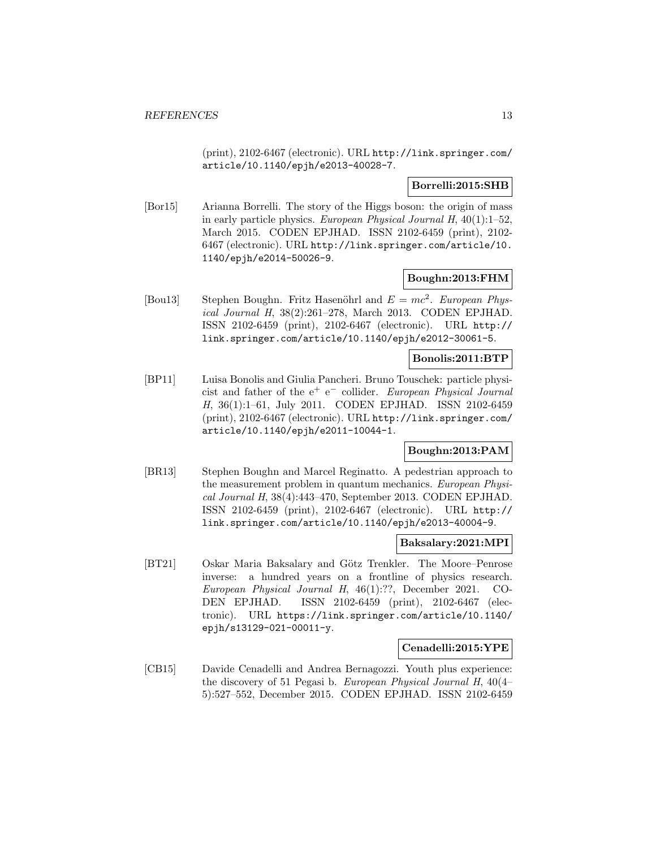(print), 2102-6467 (electronic). URL http://link.springer.com/ article/10.1140/epjh/e2013-40028-7.

### **Borrelli:2015:SHB**

[Bor15] Arianna Borrelli. The story of the Higgs boson: the origin of mass in early particle physics. European Physical Journal H,  $40(1):1-52$ , March 2015. CODEN EPJHAD. ISSN 2102-6459 (print), 2102- 6467 (electronic). URL http://link.springer.com/article/10. 1140/epjh/e2014-50026-9.

# **Boughn:2013:FHM**

[Bou13] Stephen Boughn. Fritz Hasenöhrl and  $E = mc^2$ . European Physical Journal H, 38(2):261–278, March 2013. CODEN EPJHAD. ISSN 2102-6459 (print), 2102-6467 (electronic). URL http:// link.springer.com/article/10.1140/epjh/e2012-30061-5.

#### **Bonolis:2011:BTP**

[BP11] Luisa Bonolis and Giulia Pancheri. Bruno Touschek: particle physicist and father of the  $e^+$  e<sup>-</sup> collider. European Physical Journal H, 36(1):1–61, July 2011. CODEN EPJHAD. ISSN 2102-6459 (print), 2102-6467 (electronic). URL http://link.springer.com/ article/10.1140/epjh/e2011-10044-1.

# **Boughn:2013:PAM**

[BR13] Stephen Boughn and Marcel Reginatto. A pedestrian approach to the measurement problem in quantum mechanics. European Physical Journal H, 38(4):443–470, September 2013. CODEN EPJHAD. ISSN 2102-6459 (print), 2102-6467 (electronic). URL http:// link.springer.com/article/10.1140/epjh/e2013-40004-9.

#### **Baksalary:2021:MPI**

[BT21] Oskar Maria Baksalary and Götz Trenkler. The Moore–Penrose inverse: a hundred years on a frontline of physics research. European Physical Journal H, 46(1):??, December 2021. CO-DEN EPJHAD. ISSN 2102-6459 (print), 2102-6467 (electronic). URL https://link.springer.com/article/10.1140/ epjh/s13129-021-00011-y.

# **Cenadelli:2015:YPE**

[CB15] Davide Cenadelli and Andrea Bernagozzi. Youth plus experience: the discovery of 51 Pegasi b. European Physical Journal H, 40(4– 5):527–552, December 2015. CODEN EPJHAD. ISSN 2102-6459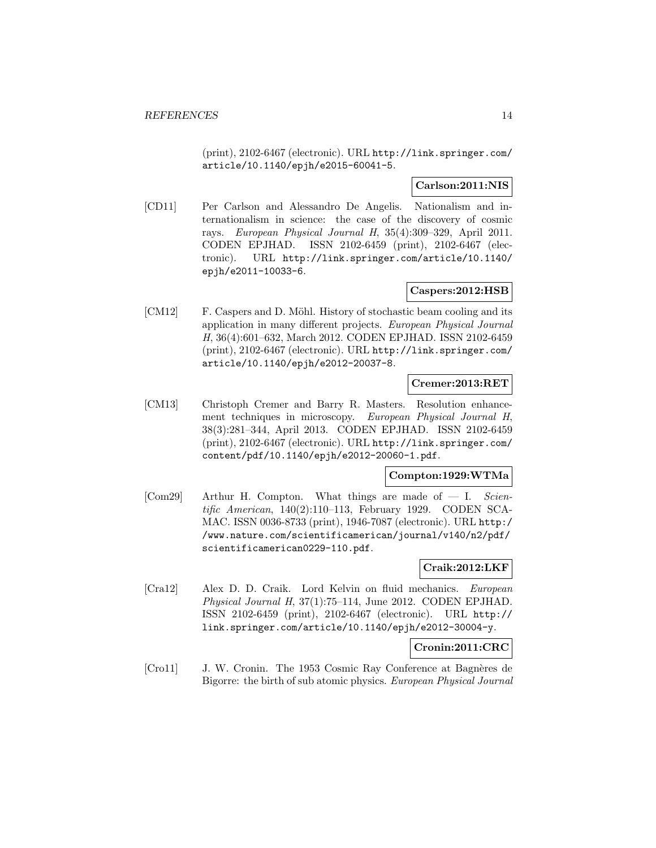(print), 2102-6467 (electronic). URL http://link.springer.com/ article/10.1140/epjh/e2015-60041-5.

# **Carlson:2011:NIS**

[CD11] Per Carlson and Alessandro De Angelis. Nationalism and internationalism in science: the case of the discovery of cosmic rays. European Physical Journal H, 35(4):309–329, April 2011. CODEN EPJHAD. ISSN 2102-6459 (print), 2102-6467 (electronic). URL http://link.springer.com/article/10.1140/ epjh/e2011-10033-6.

# **Caspers:2012:HSB**

[CM12] F. Caspers and D. Möhl. History of stochastic beam cooling and its application in many different projects. European Physical Journal H, 36(4):601–632, March 2012. CODEN EPJHAD. ISSN 2102-6459 (print), 2102-6467 (electronic). URL http://link.springer.com/ article/10.1140/epjh/e2012-20037-8.

#### **Cremer:2013:RET**

[CM13] Christoph Cremer and Barry R. Masters. Resolution enhancement techniques in microscopy. European Physical Journal H, 38(3):281–344, April 2013. CODEN EPJHAD. ISSN 2102-6459 (print), 2102-6467 (electronic). URL http://link.springer.com/ content/pdf/10.1140/epjh/e2012-20060-1.pdf.

# **Compton:1929:WTMa**

[Com29] Arthur H. Compton. What things are made of  $-$  I. Scientific American, 140(2):110–113, February 1929. CODEN SCA-MAC. ISSN 0036-8733 (print), 1946-7087 (electronic). URL http:/ /www.nature.com/scientificamerican/journal/v140/n2/pdf/ scientificamerican0229-110.pdf.

### **Craik:2012:LKF**

[Cra12] Alex D. D. Craik. Lord Kelvin on fluid mechanics. European Physical Journal H, 37(1):75–114, June 2012. CODEN EPJHAD. ISSN 2102-6459 (print), 2102-6467 (electronic). URL http:// link.springer.com/article/10.1140/epjh/e2012-30004-y.

#### **Cronin:2011:CRC**

[Cro11] J. W. Cronin. The 1953 Cosmic Ray Conference at Bagnères de Bigorre: the birth of sub atomic physics. European Physical Journal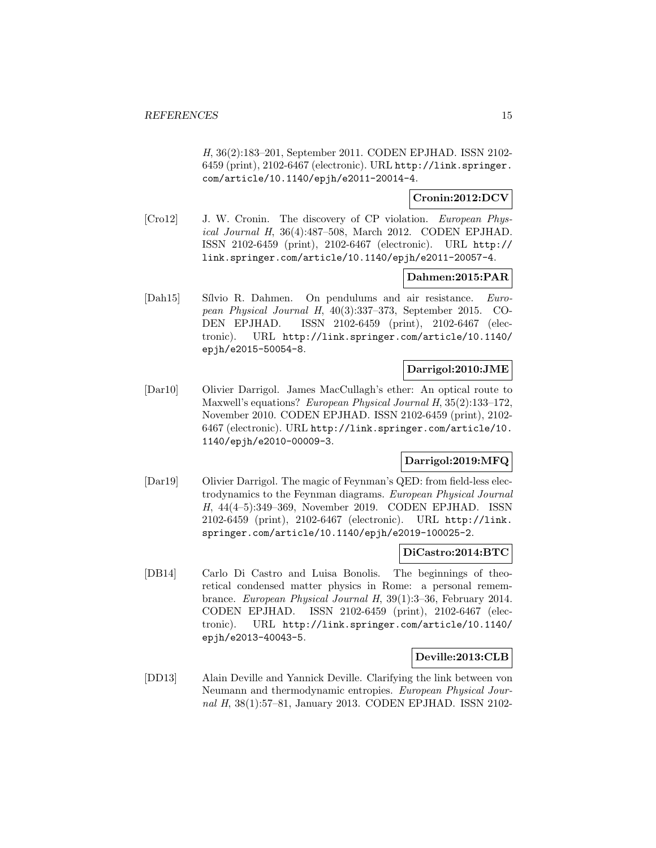H, 36(2):183–201, September 2011. CODEN EPJHAD. ISSN 2102- 6459 (print), 2102-6467 (electronic). URL http://link.springer. com/article/10.1140/epjh/e2011-20014-4.

# **Cronin:2012:DCV**

[Cro12] J. W. Cronin. The discovery of CP violation. European Physical Journal H, 36(4):487–508, March 2012. CODEN EPJHAD. ISSN 2102-6459 (print), 2102-6467 (electronic). URL http:// link.springer.com/article/10.1140/epjh/e2011-20057-4.

# **Dahmen:2015:PAR**

[Dah15] Sílvio R. Dahmen. On pendulums and air resistance. European Physical Journal H, 40(3):337–373, September 2015. CO-DEN EPJHAD. ISSN 2102-6459 (print), 2102-6467 (electronic). URL http://link.springer.com/article/10.1140/ epjh/e2015-50054-8.

# **Darrigol:2010:JME**

[Dar10] Olivier Darrigol. James MacCullagh's ether: An optical route to Maxwell's equations? European Physical Journal H, 35(2):133–172, November 2010. CODEN EPJHAD. ISSN 2102-6459 (print), 2102- 6467 (electronic). URL http://link.springer.com/article/10. 1140/epjh/e2010-00009-3.

# **Darrigol:2019:MFQ**

[Dar19] Olivier Darrigol. The magic of Feynman's QED: from field-less electrodynamics to the Feynman diagrams. European Physical Journal H, 44(4–5):349–369, November 2019. CODEN EPJHAD. ISSN 2102-6459 (print), 2102-6467 (electronic). URL http://link. springer.com/article/10.1140/epjh/e2019-100025-2.

#### **DiCastro:2014:BTC**

[DB14] Carlo Di Castro and Luisa Bonolis. The beginnings of theoretical condensed matter physics in Rome: a personal remembrance. European Physical Journal H, 39(1):3–36, February 2014. CODEN EPJHAD. ISSN 2102-6459 (print), 2102-6467 (electronic). URL http://link.springer.com/article/10.1140/ epjh/e2013-40043-5.

#### **Deville:2013:CLB**

[DD13] Alain Deville and Yannick Deville. Clarifying the link between von Neumann and thermodynamic entropies. European Physical Journal H, 38(1):57–81, January 2013. CODEN EPJHAD. ISSN 2102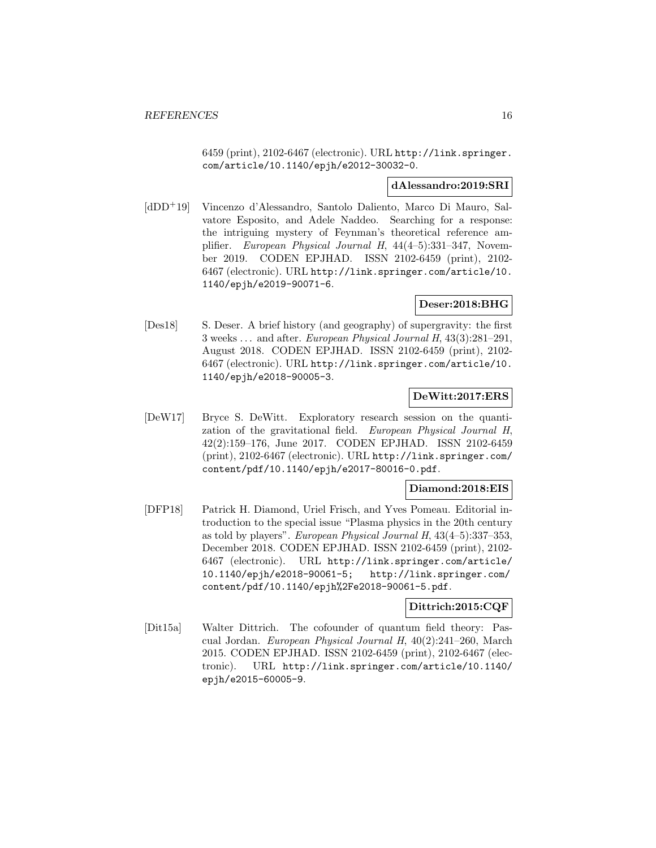6459 (print), 2102-6467 (electronic). URL http://link.springer. com/article/10.1140/epjh/e2012-30032-0.

#### **dAlessandro:2019:SRI**

[dDD<sup>+</sup>19] Vincenzo d'Alessandro, Santolo Daliento, Marco Di Mauro, Salvatore Esposito, and Adele Naddeo. Searching for a response: the intriguing mystery of Feynman's theoretical reference amplifier. European Physical Journal H, 44(4–5):331–347, November 2019. CODEN EPJHAD. ISSN 2102-6459 (print), 2102- 6467 (electronic). URL http://link.springer.com/article/10. 1140/epjh/e2019-90071-6.

# **Deser:2018:BHG**

[Des18] S. Deser. A brief history (and geography) of supergravity: the first 3 weeks ... and after. European Physical Journal H, 43(3):281–291, August 2018. CODEN EPJHAD. ISSN 2102-6459 (print), 2102- 6467 (electronic). URL http://link.springer.com/article/10. 1140/epjh/e2018-90005-3.

# **DeWitt:2017:ERS**

[DeW17] Bryce S. DeWitt. Exploratory research session on the quantization of the gravitational field. European Physical Journal H, 42(2):159–176, June 2017. CODEN EPJHAD. ISSN 2102-6459 (print), 2102-6467 (electronic). URL http://link.springer.com/ content/pdf/10.1140/epjh/e2017-80016-0.pdf.

#### **Diamond:2018:EIS**

[DFP18] Patrick H. Diamond, Uriel Frisch, and Yves Pomeau. Editorial introduction to the special issue "Plasma physics in the 20th century as told by players". European Physical Journal H, 43(4–5):337–353, December 2018. CODEN EPJHAD. ISSN 2102-6459 (print), 2102- 6467 (electronic). URL http://link.springer.com/article/ 10.1140/epjh/e2018-90061-5; http://link.springer.com/ content/pdf/10.1140/epjh%2Fe2018-90061-5.pdf.

#### **Dittrich:2015:CQF**

[Dit15a] Walter Dittrich. The cofounder of quantum field theory: Pascual Jordan. European Physical Journal H, 40(2):241–260, March 2015. CODEN EPJHAD. ISSN 2102-6459 (print), 2102-6467 (electronic). URL http://link.springer.com/article/10.1140/ epjh/e2015-60005-9.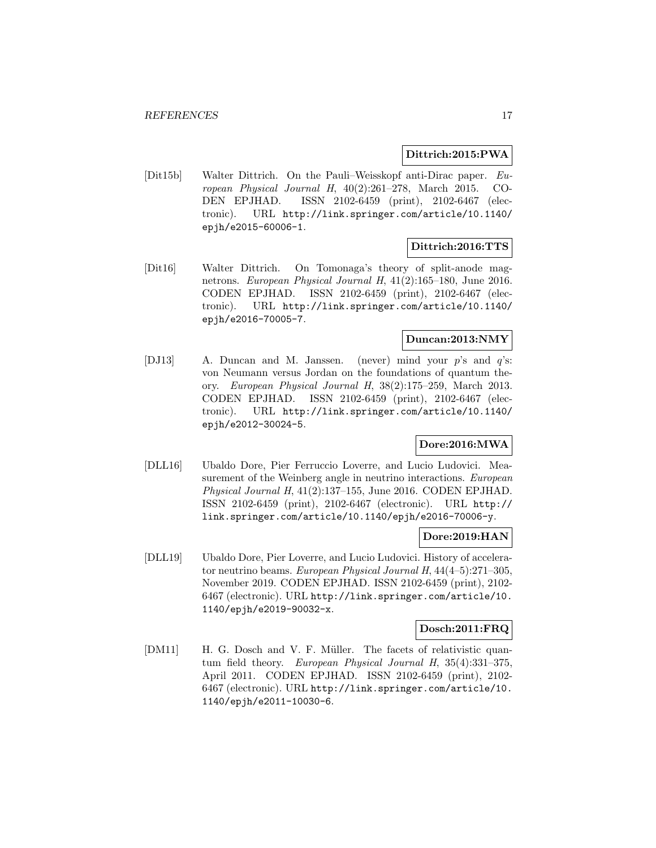#### **Dittrich:2015:PWA**

[Dit15b] Walter Dittrich. On the Pauli–Weisskopf anti-Dirac paper. European Physical Journal H, 40(2):261–278, March 2015. CO-DEN EPJHAD. ISSN 2102-6459 (print), 2102-6467 (electronic). URL http://link.springer.com/article/10.1140/ epjh/e2015-60006-1.

# **Dittrich:2016:TTS**

[Dit16] Walter Dittrich. On Tomonaga's theory of split-anode magnetrons. European Physical Journal H, 41(2):165–180, June 2016. CODEN EPJHAD. ISSN 2102-6459 (print), 2102-6467 (electronic). URL http://link.springer.com/article/10.1140/ epjh/e2016-70005-7.

# **Duncan:2013:NMY**

[DJ13] A. Duncan and M. Janssen. (never) mind your p's and q's: von Neumann versus Jordan on the foundations of quantum theory. European Physical Journal H, 38(2):175–259, March 2013. CODEN EPJHAD. ISSN 2102-6459 (print), 2102-6467 (electronic). URL http://link.springer.com/article/10.1140/ epjh/e2012-30024-5.

# **Dore:2016:MWA**

[DLL16] Ubaldo Dore, Pier Ferruccio Loverre, and Lucio Ludovici. Measurement of the Weinberg angle in neutrino interactions. European Physical Journal H, 41(2):137–155, June 2016. CODEN EPJHAD. ISSN 2102-6459 (print), 2102-6467 (electronic). URL http:// link.springer.com/article/10.1140/epjh/e2016-70006-y.

#### **Dore:2019:HAN**

[DLL19] Ubaldo Dore, Pier Loverre, and Lucio Ludovici. History of accelerator neutrino beams. European Physical Journal H, 44(4–5):271–305, November 2019. CODEN EPJHAD. ISSN 2102-6459 (print), 2102- 6467 (electronic). URL http://link.springer.com/article/10. 1140/epjh/e2019-90032-x.

#### **Dosch:2011:FRQ**

[DM11] H. G. Dosch and V. F. Müller. The facets of relativistic quantum field theory. European Physical Journal H, 35(4):331–375, April 2011. CODEN EPJHAD. ISSN 2102-6459 (print), 2102- 6467 (electronic). URL http://link.springer.com/article/10. 1140/epjh/e2011-10030-6.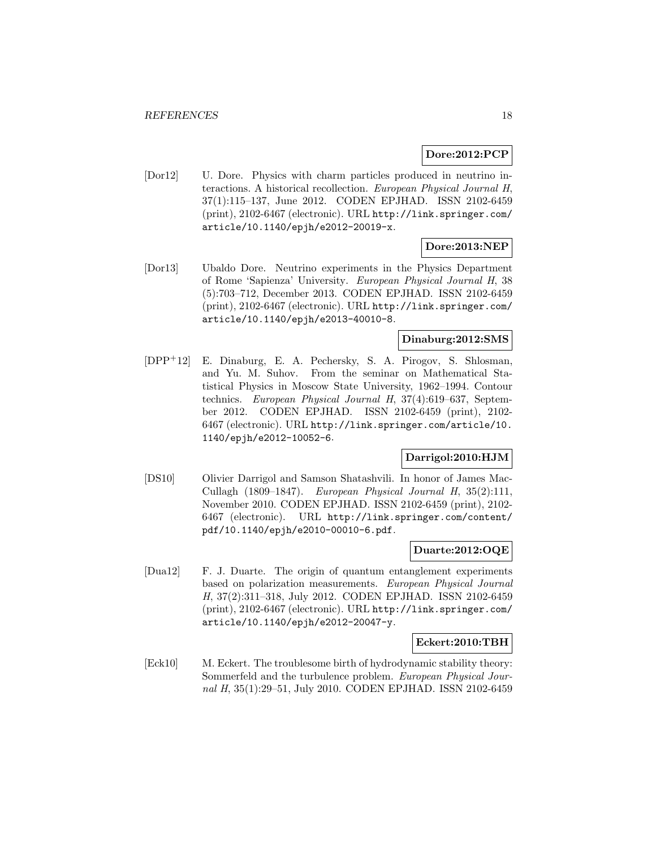### **Dore:2012:PCP**

[Dor12] U. Dore. Physics with charm particles produced in neutrino interactions. A historical recollection. European Physical Journal H, 37(1):115–137, June 2012. CODEN EPJHAD. ISSN 2102-6459 (print), 2102-6467 (electronic). URL http://link.springer.com/ article/10.1140/epjh/e2012-20019-x.

# **Dore:2013:NEP**

[Dor13] Ubaldo Dore. Neutrino experiments in the Physics Department of Rome 'Sapienza' University. European Physical Journal H, 38 (5):703–712, December 2013. CODEN EPJHAD. ISSN 2102-6459 (print), 2102-6467 (electronic). URL http://link.springer.com/ article/10.1140/epjh/e2013-40010-8.

# **Dinaburg:2012:SMS**

[DPP<sup>+</sup>12] E. Dinaburg, E. A. Pechersky, S. A. Pirogov, S. Shlosman, and Yu. M. Suhov. From the seminar on Mathematical Statistical Physics in Moscow State University, 1962–1994. Contour technics. European Physical Journal H, 37(4):619–637, September 2012. CODEN EPJHAD. ISSN 2102-6459 (print), 2102- 6467 (electronic). URL http://link.springer.com/article/10. 1140/epjh/e2012-10052-6.

#### **Darrigol:2010:HJM**

[DS10] Olivier Darrigol and Samson Shatashvili. In honor of James Mac-Cullagh (1809–1847). European Physical Journal H, 35(2):111, November 2010. CODEN EPJHAD. ISSN 2102-6459 (print), 2102- 6467 (electronic). URL http://link.springer.com/content/ pdf/10.1140/epjh/e2010-00010-6.pdf.

#### **Duarte:2012:OQE**

[Dua12] F. J. Duarte. The origin of quantum entanglement experiments based on polarization measurements. European Physical Journal H, 37(2):311–318, July 2012. CODEN EPJHAD. ISSN 2102-6459 (print), 2102-6467 (electronic). URL http://link.springer.com/ article/10.1140/epjh/e2012-20047-y.

#### **Eckert:2010:TBH**

[Eck10] M. Eckert. The troublesome birth of hydrodynamic stability theory: Sommerfeld and the turbulence problem. European Physical Journal H, 35(1):29–51, July 2010. CODEN EPJHAD. ISSN 2102-6459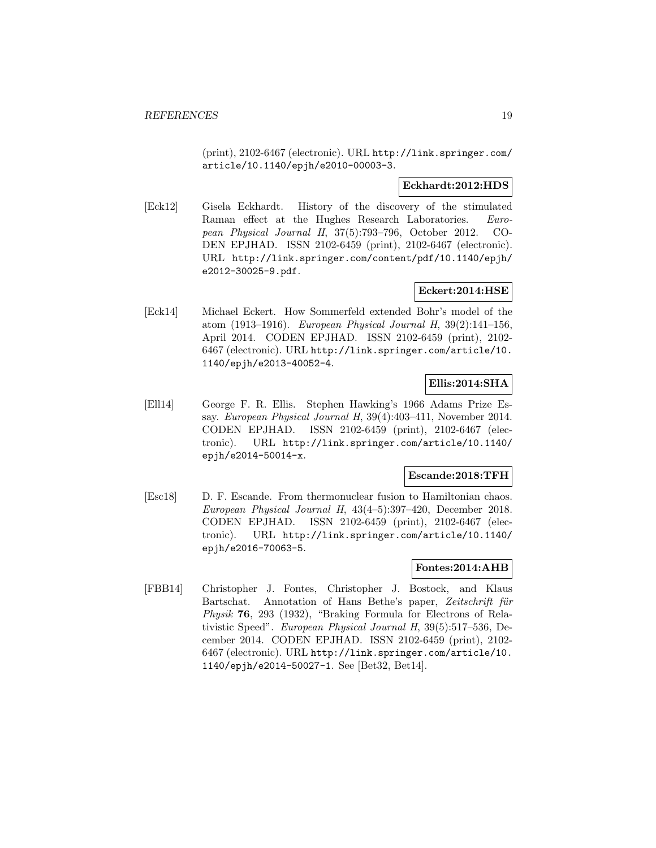(print), 2102-6467 (electronic). URL http://link.springer.com/ article/10.1140/epjh/e2010-00003-3.

# **Eckhardt:2012:HDS**

[Eck12] Gisela Eckhardt. History of the discovery of the stimulated Raman effect at the Hughes Research Laboratories. European Physical Journal H, 37(5):793–796, October 2012. CO-DEN EPJHAD. ISSN 2102-6459 (print), 2102-6467 (electronic). URL http://link.springer.com/content/pdf/10.1140/epjh/ e2012-30025-9.pdf.

# **Eckert:2014:HSE**

[Eck14] Michael Eckert. How Sommerfeld extended Bohr's model of the atom (1913–1916). European Physical Journal H, 39(2):141–156, April 2014. CODEN EPJHAD. ISSN 2102-6459 (print), 2102- 6467 (electronic). URL http://link.springer.com/article/10. 1140/epjh/e2013-40052-4.

# **Ellis:2014:SHA**

[Ell14] George F. R. Ellis. Stephen Hawking's 1966 Adams Prize Essay. European Physical Journal H, 39(4):403–411, November 2014. CODEN EPJHAD. ISSN 2102-6459 (print), 2102-6467 (electronic). URL http://link.springer.com/article/10.1140/ epjh/e2014-50014-x.

# **Escande:2018:TFH**

[Esc18] D. F. Escande. From thermonuclear fusion to Hamiltonian chaos. European Physical Journal H, 43(4–5):397–420, December 2018. CODEN EPJHAD. ISSN 2102-6459 (print), 2102-6467 (electronic). URL http://link.springer.com/article/10.1140/ epjh/e2016-70063-5.

### **Fontes:2014:AHB**

[FBB14] Christopher J. Fontes, Christopher J. Bostock, and Klaus Bartschat. Annotation of Hans Bethe's paper, Zeitschrift für Physik **76**, 293 (1932), "Braking Formula for Electrons of Relativistic Speed". European Physical Journal H, 39(5):517–536, December 2014. CODEN EPJHAD. ISSN 2102-6459 (print), 2102- 6467 (electronic). URL http://link.springer.com/article/10. 1140/epjh/e2014-50027-1. See [Bet32, Bet14].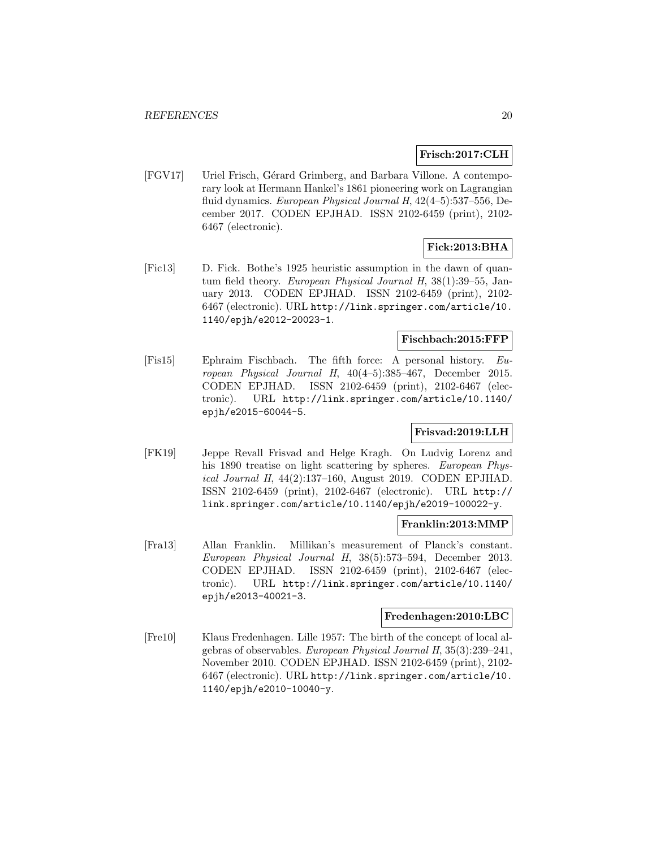### **Frisch:2017:CLH**

[FGV17] Uriel Frisch, Gérard Grimberg, and Barbara Villone. A contemporary look at Hermann Hankel's 1861 pioneering work on Lagrangian fluid dynamics. European Physical Journal H, 42(4–5):537–556, December 2017. CODEN EPJHAD. ISSN 2102-6459 (print), 2102- 6467 (electronic).

# **Fick:2013:BHA**

[Fic13] D. Fick. Bothe's 1925 heuristic assumption in the dawn of quantum field theory. European Physical Journal H, 38(1):39–55, January 2013. CODEN EPJHAD. ISSN 2102-6459 (print), 2102- 6467 (electronic). URL http://link.springer.com/article/10. 1140/epjh/e2012-20023-1.

# **Fischbach:2015:FFP**

[Fis15] Ephraim Fischbach. The fifth force: A personal history. European Physical Journal H, 40(4–5):385–467, December 2015. CODEN EPJHAD. ISSN 2102-6459 (print), 2102-6467 (electronic). URL http://link.springer.com/article/10.1140/ epjh/e2015-60044-5.

# **Frisvad:2019:LLH**

[FK19] Jeppe Revall Frisvad and Helge Kragh. On Ludvig Lorenz and his 1890 treatise on light scattering by spheres. European Physical Journal H, 44(2):137–160, August 2019. CODEN EPJHAD. ISSN 2102-6459 (print), 2102-6467 (electronic). URL http:// link.springer.com/article/10.1140/epjh/e2019-100022-y.

# **Franklin:2013:MMP**

[Fra13] Allan Franklin. Millikan's measurement of Planck's constant. European Physical Journal H, 38(5):573–594, December 2013. CODEN EPJHAD. ISSN 2102-6459 (print), 2102-6467 (electronic). URL http://link.springer.com/article/10.1140/ epjh/e2013-40021-3.

#### **Fredenhagen:2010:LBC**

[Fre10] Klaus Fredenhagen. Lille 1957: The birth of the concept of local algebras of observables. European Physical Journal H, 35(3):239–241, November 2010. CODEN EPJHAD. ISSN 2102-6459 (print), 2102- 6467 (electronic). URL http://link.springer.com/article/10. 1140/epjh/e2010-10040-y.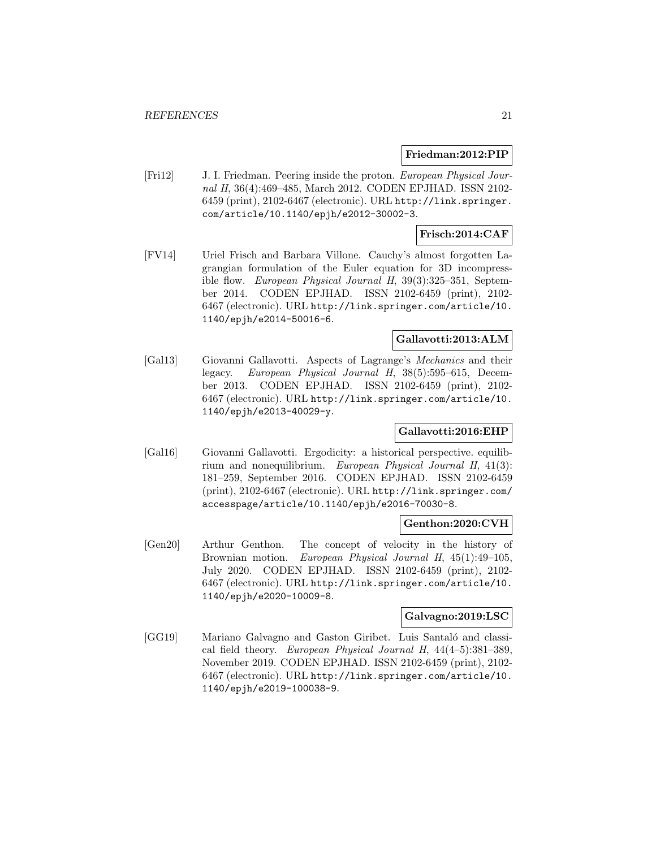#### **Friedman:2012:PIP**

[Fri12] J. I. Friedman. Peering inside the proton. European Physical Journal H, 36(4):469–485, March 2012. CODEN EPJHAD. ISSN 2102- 6459 (print), 2102-6467 (electronic). URL http://link.springer. com/article/10.1140/epjh/e2012-30002-3.

# **Frisch:2014:CAF**

[FV14] Uriel Frisch and Barbara Villone. Cauchy's almost forgotten Lagrangian formulation of the Euler equation for 3D incompressible flow. European Physical Journal H, 39(3):325–351, September 2014. CODEN EPJHAD. ISSN 2102-6459 (print), 2102- 6467 (electronic). URL http://link.springer.com/article/10. 1140/epjh/e2014-50016-6.

# **Gallavotti:2013:ALM**

[Gal13] Giovanni Gallavotti. Aspects of Lagrange's Mechanics and their legacy. European Physical Journal H, 38(5):595–615, December 2013. CODEN EPJHAD. ISSN 2102-6459 (print), 2102- 6467 (electronic). URL http://link.springer.com/article/10. 1140/epjh/e2013-40029-y.

# **Gallavotti:2016:EHP**

[Gal16] Giovanni Gallavotti. Ergodicity: a historical perspective. equilibrium and nonequilibrium. European Physical Journal H, 41(3): 181–259, September 2016. CODEN EPJHAD. ISSN 2102-6459 (print), 2102-6467 (electronic). URL http://link.springer.com/ accesspage/article/10.1140/epjh/e2016-70030-8.

#### **Genthon:2020:CVH**

[Gen20] Arthur Genthon. The concept of velocity in the history of Brownian motion. European Physical Journal H, 45(1):49–105, July 2020. CODEN EPJHAD. ISSN 2102-6459 (print), 2102- 6467 (electronic). URL http://link.springer.com/article/10. 1140/epjh/e2020-10009-8.

#### **Galvagno:2019:LSC**

[GG19] Mariano Galvagno and Gaston Giribet. Luis Santaló and classical field theory. European Physical Journal H, 44(4–5):381–389, November 2019. CODEN EPJHAD. ISSN 2102-6459 (print), 2102- 6467 (electronic). URL http://link.springer.com/article/10. 1140/epjh/e2019-100038-9.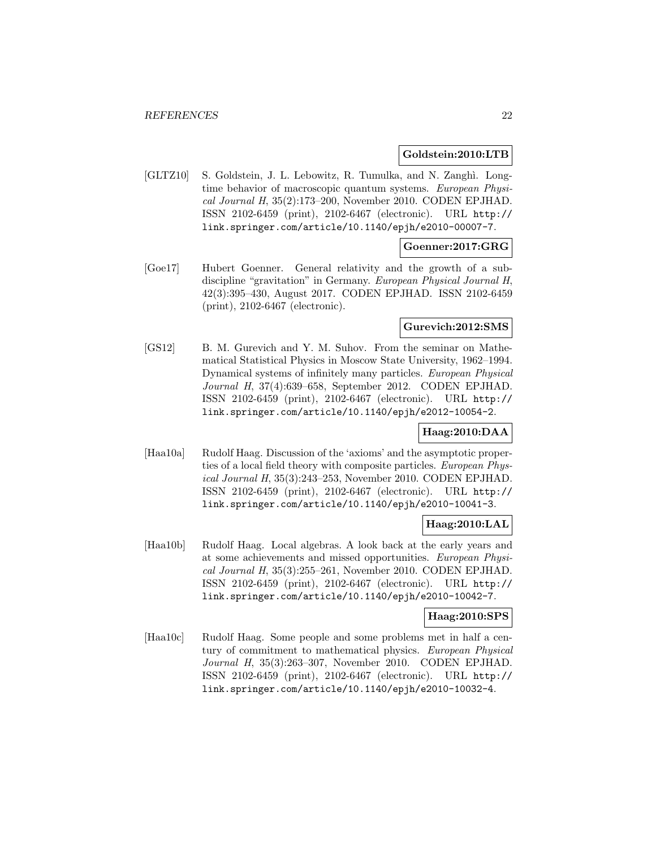#### **Goldstein:2010:LTB**

[GLTZ10] S. Goldstein, J. L. Lebowitz, R. Tumulka, and N. Zanghì. Longtime behavior of macroscopic quantum systems. European Physical Journal H, 35(2):173–200, November 2010. CODEN EPJHAD. ISSN 2102-6459 (print), 2102-6467 (electronic). URL http:// link.springer.com/article/10.1140/epjh/e2010-00007-7.

# **Goenner:2017:GRG**

[Goe17] Hubert Goenner. General relativity and the growth of a subdiscipline "gravitation" in Germany. European Physical Journal H, 42(3):395–430, August 2017. CODEN EPJHAD. ISSN 2102-6459 (print), 2102-6467 (electronic).

#### **Gurevich:2012:SMS**

[GS12] B. M. Gurevich and Y. M. Suhov. From the seminar on Mathematical Statistical Physics in Moscow State University, 1962–1994. Dynamical systems of infinitely many particles. European Physical Journal H, 37(4):639–658, September 2012. CODEN EPJHAD. ISSN 2102-6459 (print), 2102-6467 (electronic). URL http:// link.springer.com/article/10.1140/epjh/e2012-10054-2.

# **Haag:2010:DAA**

[Haa10a] Rudolf Haag. Discussion of the 'axioms' and the asymptotic properties of a local field theory with composite particles. European Physical Journal H, 35(3):243–253, November 2010. CODEN EPJHAD. ISSN 2102-6459 (print), 2102-6467 (electronic). URL http:// link.springer.com/article/10.1140/epjh/e2010-10041-3.

# **Haag:2010:LAL**

[Haa10b] Rudolf Haag. Local algebras. A look back at the early years and at some achievements and missed opportunities. European Physical Journal H, 35(3):255–261, November 2010. CODEN EPJHAD. ISSN 2102-6459 (print), 2102-6467 (electronic). URL http:// link.springer.com/article/10.1140/epjh/e2010-10042-7.

# **Haag:2010:SPS**

[Haa10c] Rudolf Haag. Some people and some problems met in half a century of commitment to mathematical physics. European Physical Journal H, 35(3):263–307, November 2010. CODEN EPJHAD. ISSN 2102-6459 (print), 2102-6467 (electronic). URL http:// link.springer.com/article/10.1140/epjh/e2010-10032-4.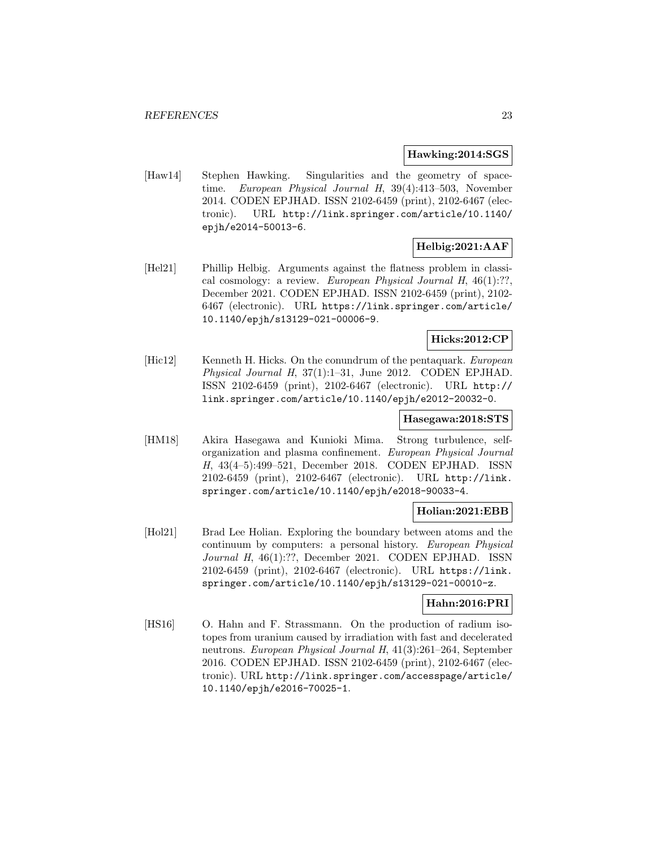#### **Hawking:2014:SGS**

[Haw14] Stephen Hawking. Singularities and the geometry of spacetime. European Physical Journal H, 39(4):413–503, November 2014. CODEN EPJHAD. ISSN 2102-6459 (print), 2102-6467 (electronic). URL http://link.springer.com/article/10.1140/ epjh/e2014-50013-6.

# **Helbig:2021:AAF**

[Hel21] Phillip Helbig. Arguments against the flatness problem in classical cosmology: a review. European Physical Journal H, 46(1):??, December 2021. CODEN EPJHAD. ISSN 2102-6459 (print), 2102- 6467 (electronic). URL https://link.springer.com/article/ 10.1140/epjh/s13129-021-00006-9.

# **Hicks:2012:CP**

[Hic12] Kenneth H. Hicks. On the conundrum of the pentaquark. European Physical Journal H, 37(1):1–31, June 2012. CODEN EPJHAD. ISSN 2102-6459 (print), 2102-6467 (electronic). URL http:// link.springer.com/article/10.1140/epjh/e2012-20032-0.

#### **Hasegawa:2018:STS**

[HM18] Akira Hasegawa and Kunioki Mima. Strong turbulence, selforganization and plasma confinement. European Physical Journal H, 43(4–5):499–521, December 2018. CODEN EPJHAD. ISSN 2102-6459 (print), 2102-6467 (electronic). URL http://link. springer.com/article/10.1140/epjh/e2018-90033-4.

#### **Holian:2021:EBB**

[Hol21] Brad Lee Holian. Exploring the boundary between atoms and the continuum by computers: a personal history. European Physical Journal H, 46(1):??, December 2021. CODEN EPJHAD. ISSN 2102-6459 (print), 2102-6467 (electronic). URL https://link. springer.com/article/10.1140/epjh/s13129-021-00010-z.

#### **Hahn:2016:PRI**

[HS16] O. Hahn and F. Strassmann. On the production of radium isotopes from uranium caused by irradiation with fast and decelerated neutrons. European Physical Journal H, 41(3):261–264, September 2016. CODEN EPJHAD. ISSN 2102-6459 (print), 2102-6467 (electronic). URL http://link.springer.com/accesspage/article/ 10.1140/epjh/e2016-70025-1.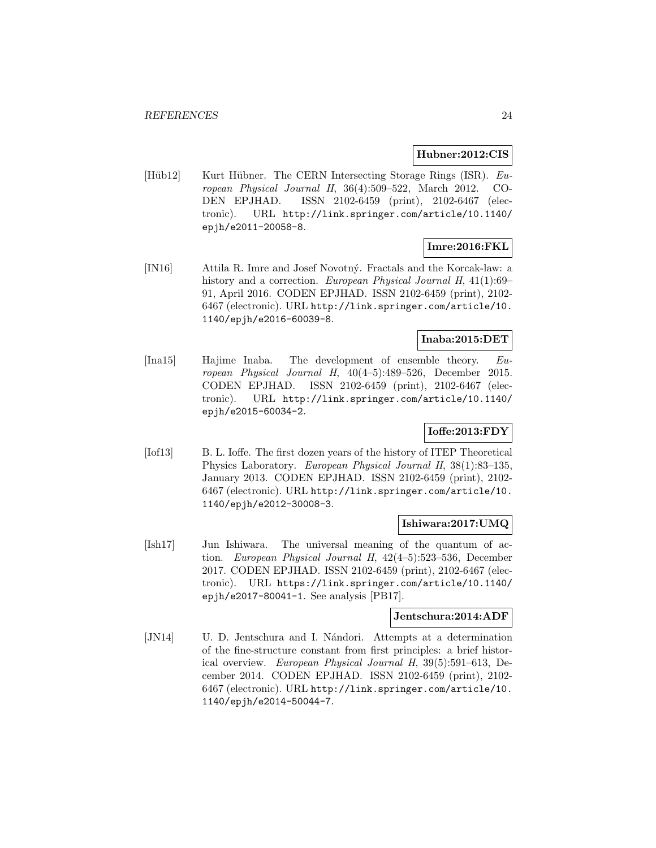#### **Hubner:2012:CIS**

[Hüb12] Kurt Hübner. The CERN Intersecting Storage Rings (ISR). European Physical Journal H, 36(4):509–522, March 2012. CO-DEN EPJHAD. ISSN 2102-6459 (print), 2102-6467 (electronic). URL http://link.springer.com/article/10.1140/ epjh/e2011-20058-8.

# **Imre:2016:FKL**

[IN16] Attila R. Imre and Josef Novotn´y. Fractals and the Korcak-law: a history and a correction. European Physical Journal H, 41(1):69– 91, April 2016. CODEN EPJHAD. ISSN 2102-6459 (print), 2102- 6467 (electronic). URL http://link.springer.com/article/10. 1140/epjh/e2016-60039-8.

# **Inaba:2015:DET**

[Ina15] Hajime Inaba. The development of ensemble theory. European Physical Journal H, 40(4–5):489–526, December 2015. CODEN EPJHAD. ISSN 2102-6459 (print), 2102-6467 (electronic). URL http://link.springer.com/article/10.1140/ epjh/e2015-60034-2.

# **Ioffe:2013:FDY**

[Iof13] B. L. Ioffe. The first dozen years of the history of ITEP Theoretical Physics Laboratory. European Physical Journal H, 38(1):83–135, January 2013. CODEN EPJHAD. ISSN 2102-6459 (print), 2102- 6467 (electronic). URL http://link.springer.com/article/10. 1140/epjh/e2012-30008-3.

#### **Ishiwara:2017:UMQ**

[Ish17] Jun Ishiwara. The universal meaning of the quantum of action. European Physical Journal H, 42(4–5):523–536, December 2017. CODEN EPJHAD. ISSN 2102-6459 (print), 2102-6467 (electronic). URL https://link.springer.com/article/10.1140/ epjh/e2017-80041-1. See analysis [PB17].

#### **Jentschura:2014:ADF**

[JN14] U. D. Jentschura and I. N´andori. Attempts at a determination of the fine-structure constant from first principles: a brief historical overview. European Physical Journal H, 39(5):591–613, December 2014. CODEN EPJHAD. ISSN 2102-6459 (print), 2102- 6467 (electronic). URL http://link.springer.com/article/10. 1140/epjh/e2014-50044-7.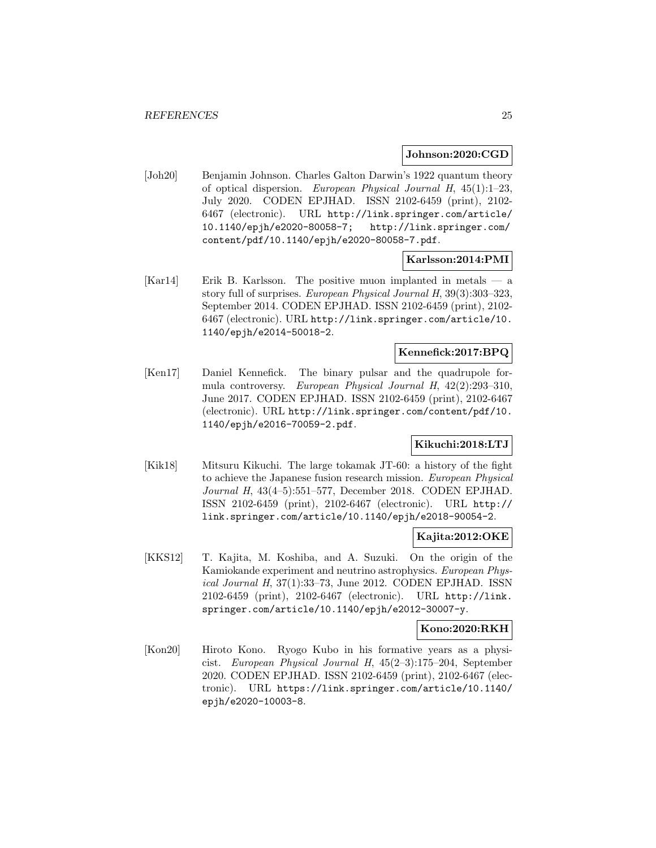#### **Johnson:2020:CGD**

[Joh20] Benjamin Johnson. Charles Galton Darwin's 1922 quantum theory of optical dispersion. European Physical Journal H, 45(1):1–23, July 2020. CODEN EPJHAD. ISSN 2102-6459 (print), 2102- 6467 (electronic). URL http://link.springer.com/article/ 10.1140/epjh/e2020-80058-7; http://link.springer.com/ content/pdf/10.1140/epjh/e2020-80058-7.pdf.

# **Karlsson:2014:PMI**

[Kar14] Erik B. Karlsson. The positive muon implanted in metals — a story full of surprises. European Physical Journal H, 39(3):303–323, September 2014. CODEN EPJHAD. ISSN 2102-6459 (print), 2102- 6467 (electronic). URL http://link.springer.com/article/10. 1140/epjh/e2014-50018-2.

# **Kennefick:2017:BPQ**

[Ken17] Daniel Kennefick. The binary pulsar and the quadrupole formula controversy. European Physical Journal H, 42(2):293–310, June 2017. CODEN EPJHAD. ISSN 2102-6459 (print), 2102-6467 (electronic). URL http://link.springer.com/content/pdf/10. 1140/epjh/e2016-70059-2.pdf.

# **Kikuchi:2018:LTJ**

[Kik18] Mitsuru Kikuchi. The large tokamak JT-60: a history of the fight to achieve the Japanese fusion research mission. European Physical Journal H, 43(4–5):551–577, December 2018. CODEN EPJHAD. ISSN 2102-6459 (print), 2102-6467 (electronic). URL http:// link.springer.com/article/10.1140/epjh/e2018-90054-2.

#### **Kajita:2012:OKE**

[KKS12] T. Kajita, M. Koshiba, and A. Suzuki. On the origin of the Kamiokande experiment and neutrino astrophysics. European Physical Journal H, 37(1):33–73, June 2012. CODEN EPJHAD. ISSN 2102-6459 (print), 2102-6467 (electronic). URL http://link. springer.com/article/10.1140/epjh/e2012-30007-y.

#### **Kono:2020:RKH**

[Kon20] Hiroto Kono. Ryogo Kubo in his formative years as a physicist. European Physical Journal H, 45(2–3):175–204, September 2020. CODEN EPJHAD. ISSN 2102-6459 (print), 2102-6467 (electronic). URL https://link.springer.com/article/10.1140/ epjh/e2020-10003-8.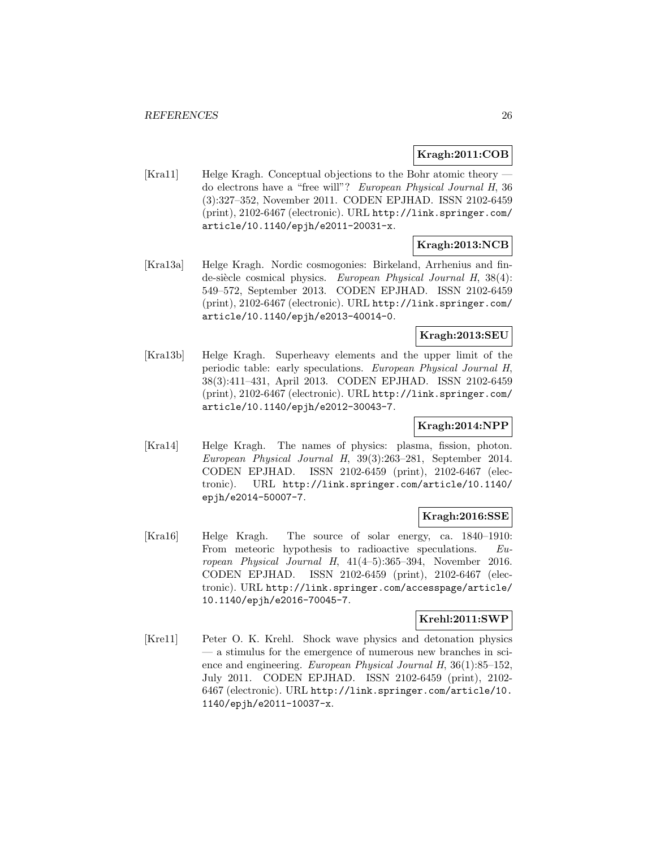# **Kragh:2011:COB**

[Kra11] Helge Kragh. Conceptual objections to the Bohr atomic theory do electrons have a "free will"? European Physical Journal H, 36 (3):327–352, November 2011. CODEN EPJHAD. ISSN 2102-6459 (print), 2102-6467 (electronic). URL http://link.springer.com/ article/10.1140/epjh/e2011-20031-x.

# **Kragh:2013:NCB**

[Kra13a] Helge Kragh. Nordic cosmogonies: Birkeland, Arrhenius and finde-siècle cosmical physics. European Physical Journal H, 38(4): 549–572, September 2013. CODEN EPJHAD. ISSN 2102-6459 (print), 2102-6467 (electronic). URL http://link.springer.com/ article/10.1140/epjh/e2013-40014-0.

# **Kragh:2013:SEU**

[Kra13b] Helge Kragh. Superheavy elements and the upper limit of the periodic table: early speculations. European Physical Journal H, 38(3):411–431, April 2013. CODEN EPJHAD. ISSN 2102-6459 (print), 2102-6467 (electronic). URL http://link.springer.com/ article/10.1140/epjh/e2012-30043-7.

# **Kragh:2014:NPP**

[Kra14] Helge Kragh. The names of physics: plasma, fission, photon. European Physical Journal H, 39(3):263–281, September 2014. CODEN EPJHAD. ISSN 2102-6459 (print), 2102-6467 (electronic). URL http://link.springer.com/article/10.1140/ epjh/e2014-50007-7.

# **Kragh:2016:SSE**

[Kra16] Helge Kragh. The source of solar energy, ca. 1840–1910: From meteoric hypothesis to radioactive speculations. European Physical Journal H, 41(4–5):365–394, November 2016. CODEN EPJHAD. ISSN 2102-6459 (print), 2102-6467 (electronic). URL http://link.springer.com/accesspage/article/ 10.1140/epjh/e2016-70045-7.

# **Krehl:2011:SWP**

[Kre11] Peter O. K. Krehl. Shock wave physics and detonation physics — a stimulus for the emergence of numerous new branches in science and engineering. European Physical Journal H, 36(1):85–152, July 2011. CODEN EPJHAD. ISSN 2102-6459 (print), 2102- 6467 (electronic). URL http://link.springer.com/article/10. 1140/epjh/e2011-10037-x.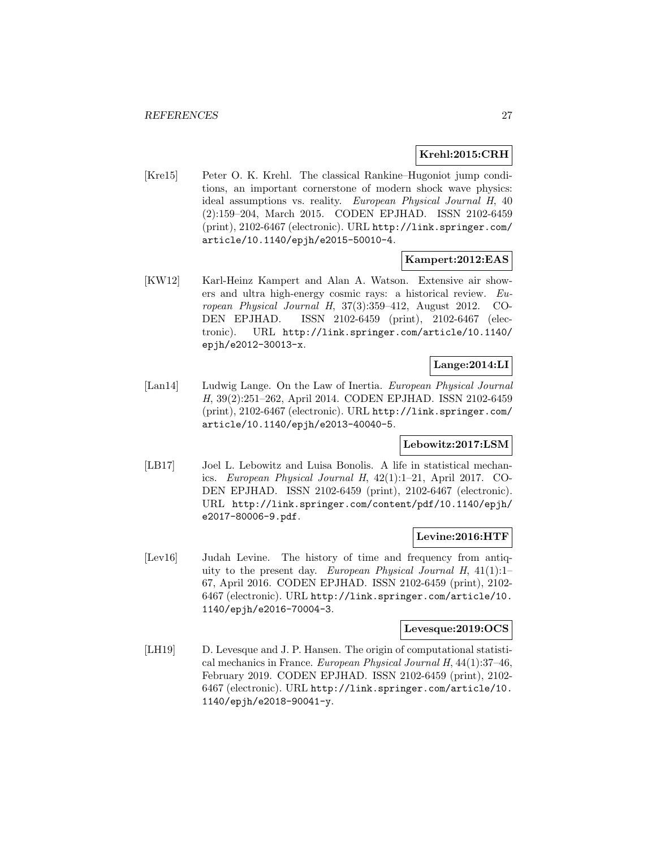#### **Krehl:2015:CRH**

[Kre15] Peter O. K. Krehl. The classical Rankine–Hugoniot jump conditions, an important cornerstone of modern shock wave physics: ideal assumptions vs. reality. European Physical Journal H, 40 (2):159–204, March 2015. CODEN EPJHAD. ISSN 2102-6459 (print), 2102-6467 (electronic). URL http://link.springer.com/ article/10.1140/epjh/e2015-50010-4.

#### **Kampert:2012:EAS**

[KW12] Karl-Heinz Kampert and Alan A. Watson. Extensive air showers and ultra high-energy cosmic rays: a historical review. European Physical Journal H, 37(3):359–412, August 2012. CO-DEN EPJHAD. ISSN 2102-6459 (print), 2102-6467 (electronic). URL http://link.springer.com/article/10.1140/ epjh/e2012-30013-x.

# **Lange:2014:LI**

[Lan14] Ludwig Lange. On the Law of Inertia. European Physical Journal H, 39(2):251–262, April 2014. CODEN EPJHAD. ISSN 2102-6459 (print), 2102-6467 (electronic). URL http://link.springer.com/ article/10.1140/epjh/e2013-40040-5.

# **Lebowitz:2017:LSM**

[LB17] Joel L. Lebowitz and Luisa Bonolis. A life in statistical mechanics. European Physical Journal H, 42(1):1–21, April 2017. CO-DEN EPJHAD. ISSN 2102-6459 (print), 2102-6467 (electronic). URL http://link.springer.com/content/pdf/10.1140/epjh/ e2017-80006-9.pdf.

#### **Levine:2016:HTF**

[Lev16] Judah Levine. The history of time and frequency from antiquity to the present day. European Physical Journal H,  $41(1):1-$ 67, April 2016. CODEN EPJHAD. ISSN 2102-6459 (print), 2102- 6467 (electronic). URL http://link.springer.com/article/10. 1140/epjh/e2016-70004-3.

#### **Levesque:2019:OCS**

[LH19] D. Levesque and J. P. Hansen. The origin of computational statistical mechanics in France. European Physical Journal H, 44(1):37–46, February 2019. CODEN EPJHAD. ISSN 2102-6459 (print), 2102- 6467 (electronic). URL http://link.springer.com/article/10. 1140/epjh/e2018-90041-y.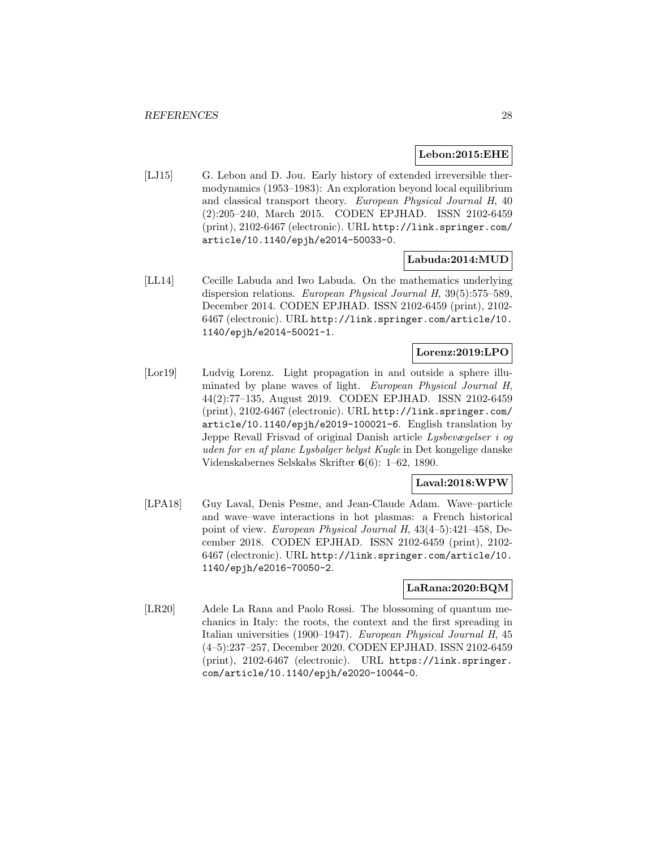#### **Lebon:2015:EHE**

[LJ15] G. Lebon and D. Jou. Early history of extended irreversible thermodynamics (1953–1983): An exploration beyond local equilibrium and classical transport theory. European Physical Journal H, 40 (2):205–240, March 2015. CODEN EPJHAD. ISSN 2102-6459 (print), 2102-6467 (electronic). URL http://link.springer.com/ article/10.1140/epjh/e2014-50033-0.

#### **Labuda:2014:MUD**

[LL14] Cecille Labuda and Iwo Labuda. On the mathematics underlying dispersion relations. European Physical Journal H, 39(5):575–589, December 2014. CODEN EPJHAD. ISSN 2102-6459 (print), 2102- 6467 (electronic). URL http://link.springer.com/article/10. 1140/epjh/e2014-50021-1.

# **Lorenz:2019:LPO**

[Lor19] Ludvig Lorenz. Light propagation in and outside a sphere illuminated by plane waves of light. European Physical Journal H, 44(2):77–135, August 2019. CODEN EPJHAD. ISSN 2102-6459 (print), 2102-6467 (electronic). URL http://link.springer.com/ article/10.1140/epjh/e2019-100021-6. English translation by Jeppe Revall Frisvad of original Danish article Lysbevægelser i og uden for en af plane Lysbølger belyst Kugle in Det kongelige danske Videnskabernes Selskabs Skrifter **6**(6): 1–62, 1890.

# **Laval:2018:WPW**

[LPA18] Guy Laval, Denis Pesme, and Jean-Claude Adam. Wave–particle and wave–wave interactions in hot plasmas: a French historical point of view. European Physical Journal H, 43(4–5):421–458, December 2018. CODEN EPJHAD. ISSN 2102-6459 (print), 2102- 6467 (electronic). URL http://link.springer.com/article/10. 1140/epjh/e2016-70050-2.

# **LaRana:2020:BQM**

[LR20] Adele La Rana and Paolo Rossi. The blossoming of quantum mechanics in Italy: the roots, the context and the first spreading in Italian universities (1900–1947). European Physical Journal H, 45 (4–5):237–257, December 2020. CODEN EPJHAD. ISSN 2102-6459 (print), 2102-6467 (electronic). URL https://link.springer. com/article/10.1140/epjh/e2020-10044-0.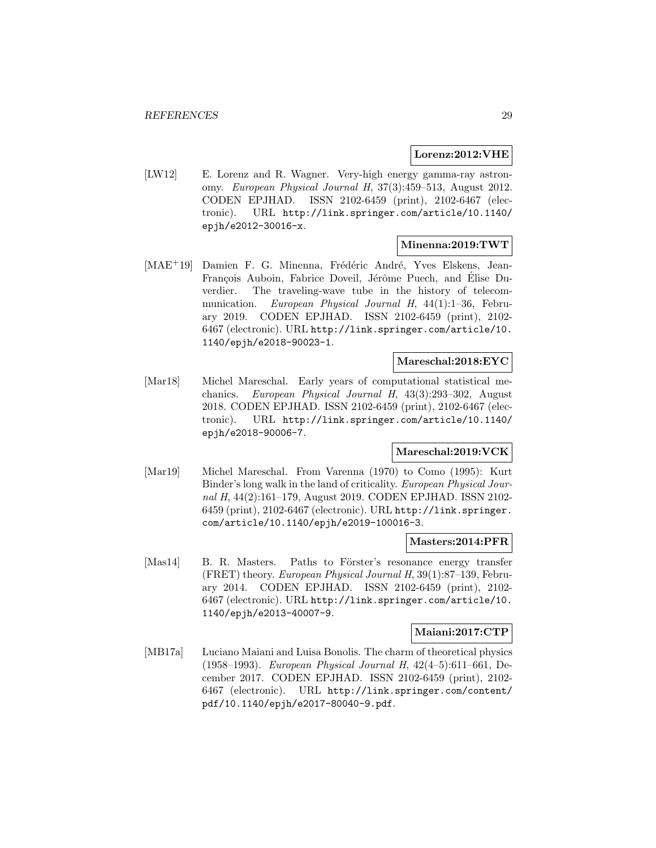### **Lorenz:2012:VHE**

[LW12] E. Lorenz and R. Wagner. Very-high energy gamma-ray astronomy. European Physical Journal H, 37(3):459–513, August 2012. CODEN EPJHAD. ISSN 2102-6459 (print), 2102-6467 (electronic). URL http://link.springer.com/article/10.1140/ epjh/e2012-30016-x.

#### **Minenna:2019:TWT**

[MAE<sup>+</sup>19] Damien F. G. Minenna, Frédéric André, Yves Elskens, Jean-François Auboin, Fabrice Doveil, Jérôme Puech, and Élise Duverdier. The traveling-wave tube in the history of telecommunication. European Physical Journal H, 44(1):1–36, February 2019. CODEN EPJHAD. ISSN 2102-6459 (print), 2102- 6467 (electronic). URL http://link.springer.com/article/10. 1140/epjh/e2018-90023-1.

#### **Mareschal:2018:EYC**

[Mar18] Michel Mareschal. Early years of computational statistical mechanics. European Physical Journal H, 43(3):293–302, August 2018. CODEN EPJHAD. ISSN 2102-6459 (print), 2102-6467 (electronic). URL http://link.springer.com/article/10.1140/ epjh/e2018-90006-7.

#### **Mareschal:2019:VCK**

[Mar19] Michel Mareschal. From Varenna (1970) to Como (1995): Kurt Binder's long walk in the land of criticality. European Physical Journal H, 44(2):161–179, August 2019. CODEN EPJHAD. ISSN 2102-6459 (print), 2102-6467 (electronic). URL http://link.springer. com/article/10.1140/epjh/e2019-100016-3.

#### **Masters:2014:PFR**

[Mas14] B. R. Masters. Paths to Förster's resonance energy transfer (FRET) theory. European Physical Journal H, 39(1):87–139, February 2014. CODEN EPJHAD. ISSN 2102-6459 (print), 2102- 6467 (electronic). URL http://link.springer.com/article/10. 1140/epjh/e2013-40007-9.

#### **Maiani:2017:CTP**

[MB17a] Luciano Maiani and Luisa Bonolis. The charm of theoretical physics (1958–1993). European Physical Journal H, 42(4–5):611–661, December 2017. CODEN EPJHAD. ISSN 2102-6459 (print), 2102- 6467 (electronic). URL http://link.springer.com/content/ pdf/10.1140/epjh/e2017-80040-9.pdf.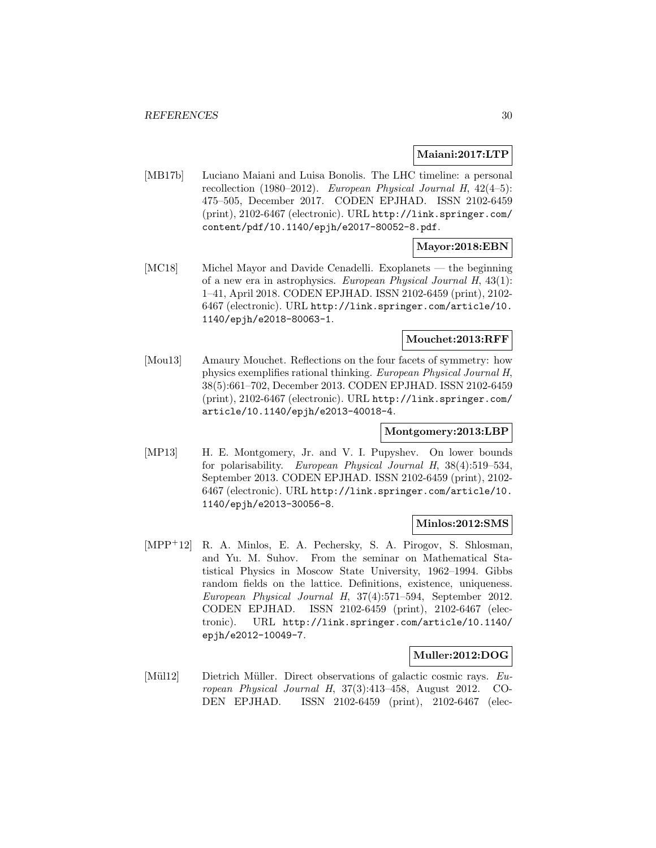### **Maiani:2017:LTP**

[MB17b] Luciano Maiani and Luisa Bonolis. The LHC timeline: a personal recollection (1980–2012). European Physical Journal H, 42(4–5): 475–505, December 2017. CODEN EPJHAD. ISSN 2102-6459 (print), 2102-6467 (electronic). URL http://link.springer.com/ content/pdf/10.1140/epjh/e2017-80052-8.pdf.

# **Mayor:2018:EBN**

[MC18] Michel Mayor and Davide Cenadelli. Exoplanets — the beginning of a new era in astrophysics. European Physical Journal H, 43(1): 1–41, April 2018. CODEN EPJHAD. ISSN 2102-6459 (print), 2102- 6467 (electronic). URL http://link.springer.com/article/10. 1140/epjh/e2018-80063-1.

# **Mouchet:2013:RFF**

[Mou13] Amaury Mouchet. Reflections on the four facets of symmetry: how physics exemplifies rational thinking. European Physical Journal H, 38(5):661–702, December 2013. CODEN EPJHAD. ISSN 2102-6459 (print), 2102-6467 (electronic). URL http://link.springer.com/ article/10.1140/epjh/e2013-40018-4.

#### **Montgomery:2013:LBP**

[MP13] H. E. Montgomery, Jr. and V. I. Pupyshev. On lower bounds for polarisability. European Physical Journal H, 38(4):519–534, September 2013. CODEN EPJHAD. ISSN 2102-6459 (print), 2102- 6467 (electronic). URL http://link.springer.com/article/10. 1140/epjh/e2013-30056-8.

#### **Minlos:2012:SMS**

[MPP<sup>+</sup>12] R. A. Minlos, E. A. Pechersky, S. A. Pirogov, S. Shlosman, and Yu. M. Suhov. From the seminar on Mathematical Statistical Physics in Moscow State University, 1962–1994. Gibbs random fields on the lattice. Definitions, existence, uniqueness. European Physical Journal H, 37(4):571–594, September 2012. CODEN EPJHAD. ISSN 2102-6459 (print), 2102-6467 (electronic). URL http://link.springer.com/article/10.1140/ epjh/e2012-10049-7.

# **Muller:2012:DOG**

[Mül12] Dietrich Müller. Direct observations of galactic cosmic rays. European Physical Journal H, 37(3):413–458, August 2012. CO-DEN EPJHAD. ISSN 2102-6459 (print), 2102-6467 (elec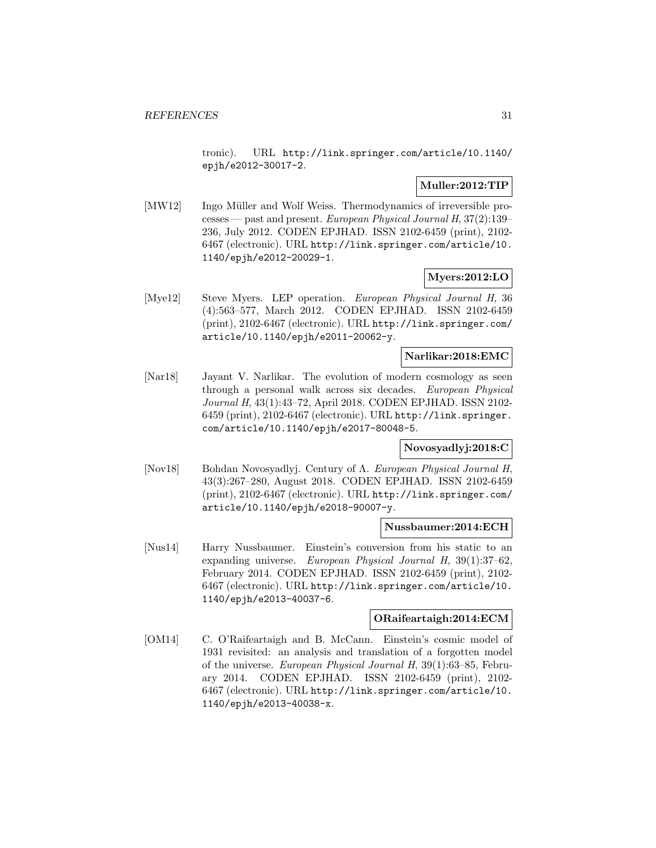tronic). URL http://link.springer.com/article/10.1140/ epjh/e2012-30017-2.

# **Muller:2012:TIP**

[MW12] Ingo Müller and Wolf Weiss. Thermodynamics of irreversible processes — past and present. European Physical Journal H, 37(2):139– 236, July 2012. CODEN EPJHAD. ISSN 2102-6459 (print), 2102- 6467 (electronic). URL http://link.springer.com/article/10. 1140/epjh/e2012-20029-1.

# **Myers:2012:LO**

[Mye12] Steve Myers. LEP operation. European Physical Journal H, 36 (4):563–577, March 2012. CODEN EPJHAD. ISSN 2102-6459 (print), 2102-6467 (electronic). URL http://link.springer.com/ article/10.1140/epjh/e2011-20062-y.

### **Narlikar:2018:EMC**

[Nar18] Jayant V. Narlikar. The evolution of modern cosmology as seen through a personal walk across six decades. European Physical Journal H, 43(1):43–72, April 2018. CODEN EPJHAD. ISSN 2102- 6459 (print), 2102-6467 (electronic). URL http://link.springer. com/article/10.1140/epjh/e2017-80048-5.

#### **Novosyadlyj:2018:C**

[Nov18] Bohdan Novosyadlyj. Century of Λ. European Physical Journal H, 43(3):267–280, August 2018. CODEN EPJHAD. ISSN 2102-6459 (print), 2102-6467 (electronic). URL http://link.springer.com/ article/10.1140/epjh/e2018-90007-y.

#### **Nussbaumer:2014:ECH**

[Nus14] Harry Nussbaumer. Einstein's conversion from his static to an expanding universe. European Physical Journal H, 39(1):37–62, February 2014. CODEN EPJHAD. ISSN 2102-6459 (print), 2102- 6467 (electronic). URL http://link.springer.com/article/10. 1140/epjh/e2013-40037-6.

# **ORaifeartaigh:2014:ECM**

[OM14] C. O'Raifeartaigh and B. McCann. Einstein's cosmic model of 1931 revisited: an analysis and translation of a forgotten model of the universe. European Physical Journal H, 39(1):63–85, February 2014. CODEN EPJHAD. ISSN 2102-6459 (print), 2102- 6467 (electronic). URL http://link.springer.com/article/10. 1140/epjh/e2013-40038-x.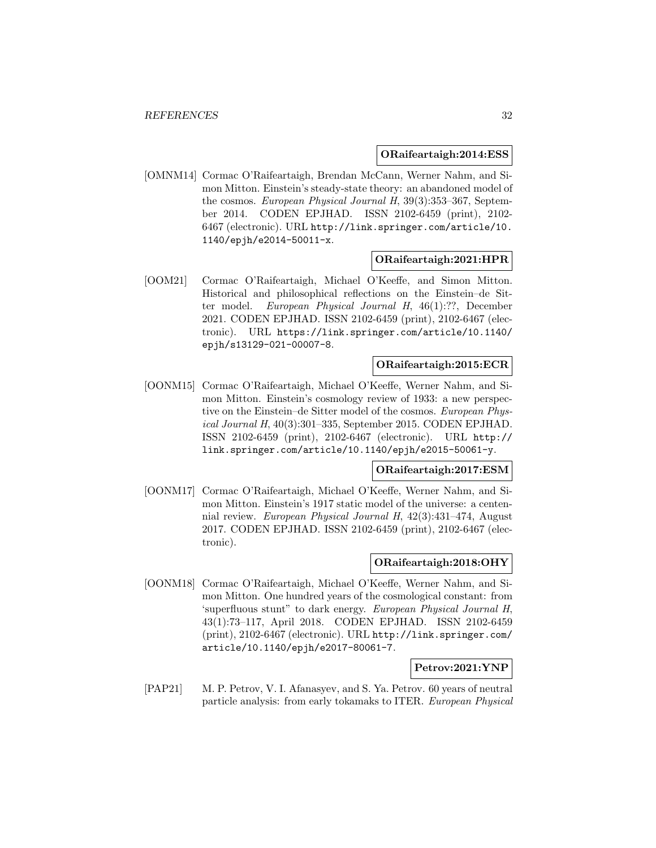#### **ORaifeartaigh:2014:ESS**

[OMNM14] Cormac O'Raifeartaigh, Brendan McCann, Werner Nahm, and Simon Mitton. Einstein's steady-state theory: an abandoned model of the cosmos. European Physical Journal H, 39(3):353–367, September 2014. CODEN EPJHAD. ISSN 2102-6459 (print), 2102- 6467 (electronic). URL http://link.springer.com/article/10. 1140/epjh/e2014-50011-x.

#### **ORaifeartaigh:2021:HPR**

[OOM21] Cormac O'Raifeartaigh, Michael O'Keeffe, and Simon Mitton. Historical and philosophical reflections on the Einstein–de Sitter model. European Physical Journal H, 46(1):??, December 2021. CODEN EPJHAD. ISSN 2102-6459 (print), 2102-6467 (electronic). URL https://link.springer.com/article/10.1140/ epjh/s13129-021-00007-8.

# **ORaifeartaigh:2015:ECR**

[OONM15] Cormac O'Raifeartaigh, Michael O'Keeffe, Werner Nahm, and Simon Mitton. Einstein's cosmology review of 1933: a new perspective on the Einstein–de Sitter model of the cosmos. European Physical Journal H, 40(3):301–335, September 2015. CODEN EPJHAD. ISSN 2102-6459 (print), 2102-6467 (electronic). URL http:// link.springer.com/article/10.1140/epjh/e2015-50061-y.

#### **ORaifeartaigh:2017:ESM**

[OONM17] Cormac O'Raifeartaigh, Michael O'Keeffe, Werner Nahm, and Simon Mitton. Einstein's 1917 static model of the universe: a centennial review. European Physical Journal H, 42(3):431–474, August 2017. CODEN EPJHAD. ISSN 2102-6459 (print), 2102-6467 (electronic).

#### **ORaifeartaigh:2018:OHY**

[OONM18] Cormac O'Raifeartaigh, Michael O'Keeffe, Werner Nahm, and Simon Mitton. One hundred years of the cosmological constant: from 'superfluous stunt" to dark energy. European Physical Journal H, 43(1):73–117, April 2018. CODEN EPJHAD. ISSN 2102-6459 (print), 2102-6467 (electronic). URL http://link.springer.com/ article/10.1140/epjh/e2017-80061-7.

#### **Petrov:2021:YNP**

[PAP21] M. P. Petrov, V. I. Afanasyev, and S. Ya. Petrov. 60 years of neutral particle analysis: from early tokamaks to ITER. European Physical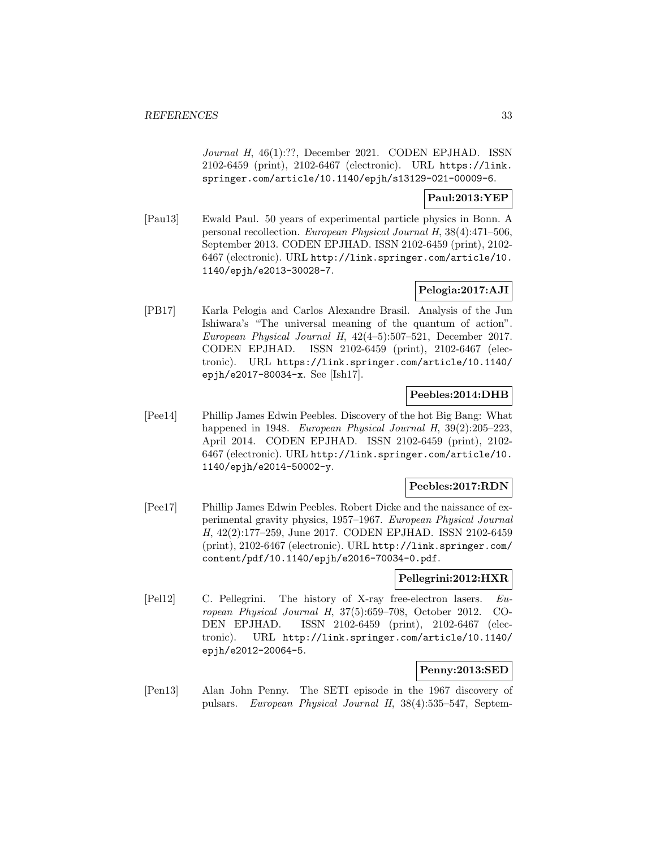Journal H, 46(1):??, December 2021. CODEN EPJHAD. ISSN 2102-6459 (print), 2102-6467 (electronic). URL https://link. springer.com/article/10.1140/epjh/s13129-021-00009-6.

# **Paul:2013:YEP**

[Pau13] Ewald Paul. 50 years of experimental particle physics in Bonn. A personal recollection. European Physical Journal H, 38(4):471–506, September 2013. CODEN EPJHAD. ISSN 2102-6459 (print), 2102- 6467 (electronic). URL http://link.springer.com/article/10. 1140/epjh/e2013-30028-7.

# **Pelogia:2017:AJI**

[PB17] Karla Pelogia and Carlos Alexandre Brasil. Analysis of the Jun Ishiwara's "The universal meaning of the quantum of action". European Physical Journal H, 42(4–5):507–521, December 2017. CODEN EPJHAD. ISSN 2102-6459 (print), 2102-6467 (electronic). URL https://link.springer.com/article/10.1140/ epjh/e2017-80034-x. See [Ish17].

# **Peebles:2014:DHB**

[Pee14] Phillip James Edwin Peebles. Discovery of the hot Big Bang: What happened in 1948. European Physical Journal H, 39(2):205-223, April 2014. CODEN EPJHAD. ISSN 2102-6459 (print), 2102- 6467 (electronic). URL http://link.springer.com/article/10. 1140/epjh/e2014-50002-y.

#### **Peebles:2017:RDN**

[Pee17] Phillip James Edwin Peebles. Robert Dicke and the naissance of experimental gravity physics, 1957–1967. European Physical Journal H, 42(2):177–259, June 2017. CODEN EPJHAD. ISSN 2102-6459 (print), 2102-6467 (electronic). URL http://link.springer.com/ content/pdf/10.1140/epjh/e2016-70034-0.pdf.

#### **Pellegrini:2012:HXR**

[Pel12] C. Pellegrini. The history of X-ray free-electron lasers. European Physical Journal H, 37(5):659–708, October 2012. CO-DEN EPJHAD. ISSN 2102-6459 (print), 2102-6467 (electronic). URL http://link.springer.com/article/10.1140/ epjh/e2012-20064-5.

# **Penny:2013:SED**

[Pen13] Alan John Penny. The SETI episode in the 1967 discovery of pulsars. European Physical Journal H, 38(4):535–547, Septem-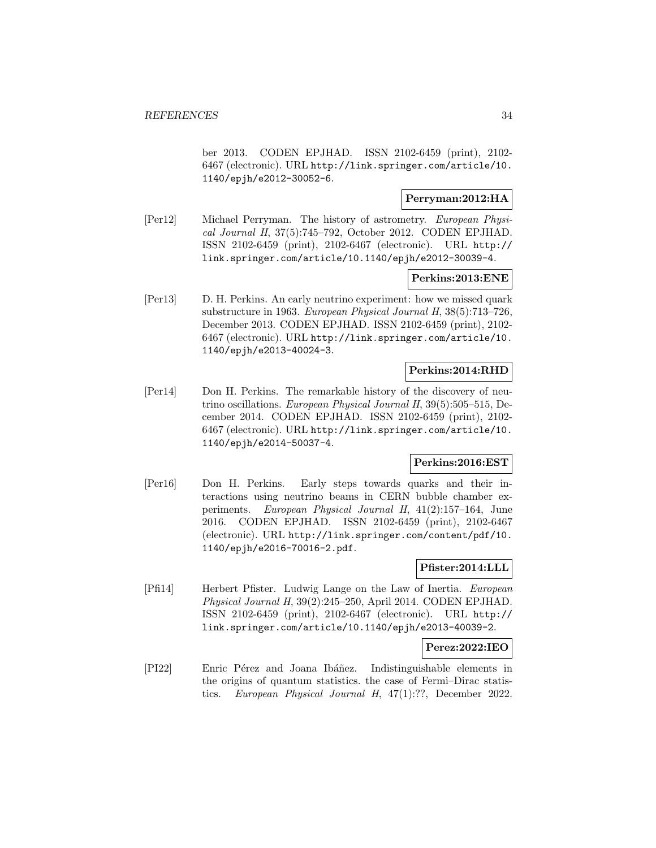ber 2013. CODEN EPJHAD. ISSN 2102-6459 (print), 2102- 6467 (electronic). URL http://link.springer.com/article/10. 1140/epjh/e2012-30052-6.

# **Perryman:2012:HA**

[Per12] Michael Perryman. The history of astrometry. European Physical Journal H, 37(5):745–792, October 2012. CODEN EPJHAD. ISSN 2102-6459 (print), 2102-6467 (electronic). URL http:// link.springer.com/article/10.1140/epjh/e2012-30039-4.

#### **Perkins:2013:ENE**

[Per13] D. H. Perkins. An early neutrino experiment: how we missed quark substructure in 1963. European Physical Journal H, 38(5):713–726, December 2013. CODEN EPJHAD. ISSN 2102-6459 (print), 2102- 6467 (electronic). URL http://link.springer.com/article/10. 1140/epjh/e2013-40024-3.

### **Perkins:2014:RHD**

[Per14] Don H. Perkins. The remarkable history of the discovery of neutrino oscillations. European Physical Journal H, 39(5):505–515, December 2014. CODEN EPJHAD. ISSN 2102-6459 (print), 2102- 6467 (electronic). URL http://link.springer.com/article/10. 1140/epjh/e2014-50037-4.

### **Perkins:2016:EST**

[Per16] Don H. Perkins. Early steps towards quarks and their interactions using neutrino beams in CERN bubble chamber experiments. European Physical Journal H, 41(2):157–164, June 2016. CODEN EPJHAD. ISSN 2102-6459 (print), 2102-6467 (electronic). URL http://link.springer.com/content/pdf/10. 1140/epjh/e2016-70016-2.pdf.

### **Pfister:2014:LLL**

[Pfi14] Herbert Pfister. Ludwig Lange on the Law of Inertia. European Physical Journal H, 39(2):245–250, April 2014. CODEN EPJHAD. ISSN 2102-6459 (print), 2102-6467 (electronic). URL http:// link.springer.com/article/10.1140/epjh/e2013-40039-2.

#### **Perez:2022:IEO**

[PI22] Enric Pérez and Joana Ibáñez. Indistinguishable elements in the origins of quantum statistics. the case of Fermi–Dirac statistics. European Physical Journal H, 47(1):??, December 2022.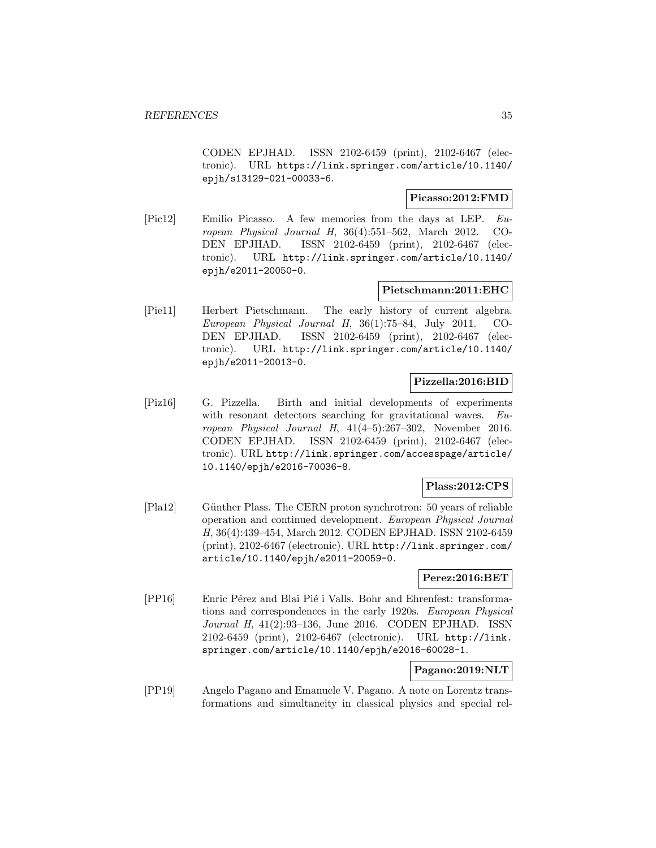CODEN EPJHAD. ISSN 2102-6459 (print), 2102-6467 (electronic). URL https://link.springer.com/article/10.1140/ epjh/s13129-021-00033-6.

### **Picasso:2012:FMD**

[Pic12] Emilio Picasso. A few memories from the days at LEP. European Physical Journal H, 36(4):551–562, March 2012. CO-DEN EPJHAD. ISSN 2102-6459 (print), 2102-6467 (electronic). URL http://link.springer.com/article/10.1140/ epjh/e2011-20050-0.

#### **Pietschmann:2011:EHC**

[Pie11] Herbert Pietschmann. The early history of current algebra. European Physical Journal H, 36(1):75–84, July 2011. CO-DEN EPJHAD. ISSN 2102-6459 (print), 2102-6467 (electronic). URL http://link.springer.com/article/10.1140/ epjh/e2011-20013-0.

# **Pizzella:2016:BID**

[Piz16] G. Pizzella. Birth and initial developments of experiments with resonant detectors searching for gravitational waves. European Physical Journal H, 41(4–5):267–302, November 2016. CODEN EPJHAD. ISSN 2102-6459 (print), 2102-6467 (electronic). URL http://link.springer.com/accesspage/article/ 10.1140/epjh/e2016-70036-8.

#### **Plass:2012:CPS**

[Pla12] Günther Plass. The CERN proton synchrotron: 50 years of reliable operation and continued development. European Physical Journal H, 36(4):439–454, March 2012. CODEN EPJHAD. ISSN 2102-6459 (print), 2102-6467 (electronic). URL http://link.springer.com/ article/10.1140/epjh/e2011-20059-0.

# **Perez:2016:BET**

[PP16] Enric Pérez and Blai Pié i Valls. Bohr and Ehrenfest: transformations and correspondences in the early 1920s. European Physical Journal H, 41(2):93–136, June 2016. CODEN EPJHAD. ISSN 2102-6459 (print), 2102-6467 (electronic). URL http://link. springer.com/article/10.1140/epjh/e2016-60028-1.

# **Pagano:2019:NLT**

[PP19] Angelo Pagano and Emanuele V. Pagano. A note on Lorentz transformations and simultaneity in classical physics and special rel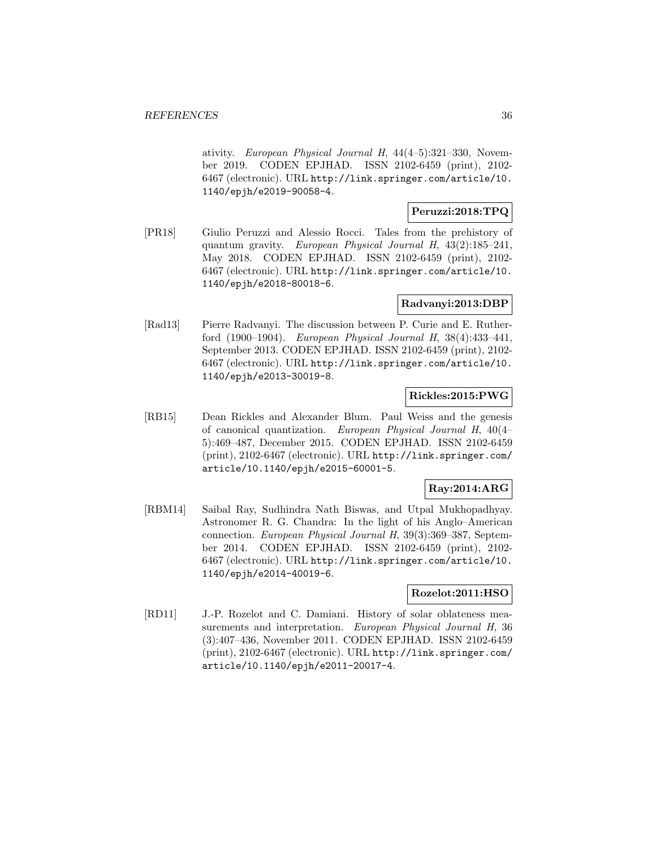ativity. European Physical Journal H, 44(4–5):321–330, November 2019. CODEN EPJHAD. ISSN 2102-6459 (print), 2102- 6467 (electronic). URL http://link.springer.com/article/10. 1140/epjh/e2019-90058-4.

# **Peruzzi:2018:TPQ**

[PR18] Giulio Peruzzi and Alessio Rocci. Tales from the prehistory of quantum gravity. European Physical Journal H, 43(2):185–241, May 2018. CODEN EPJHAD. ISSN 2102-6459 (print), 2102- 6467 (electronic). URL http://link.springer.com/article/10. 1140/epjh/e2018-80018-6.

#### **Radvanyi:2013:DBP**

[Rad13] Pierre Radvanyi. The discussion between P. Curie and E. Rutherford (1900–1904). European Physical Journal H, 38(4):433–441, September 2013. CODEN EPJHAD. ISSN 2102-6459 (print), 2102- 6467 (electronic). URL http://link.springer.com/article/10. 1140/epjh/e2013-30019-8.

# **Rickles:2015:PWG**

[RB15] Dean Rickles and Alexander Blum. Paul Weiss and the genesis of canonical quantization. European Physical Journal H, 40(4– 5):469–487, December 2015. CODEN EPJHAD. ISSN 2102-6459 (print), 2102-6467 (electronic). URL http://link.springer.com/ article/10.1140/epjh/e2015-60001-5.

# **Ray:2014:ARG**

[RBM14] Saibal Ray, Sudhindra Nath Biswas, and Utpal Mukhopadhyay. Astronomer R. G. Chandra: In the light of his Anglo–American connection. European Physical Journal H, 39(3):369–387, September 2014. CODEN EPJHAD. ISSN 2102-6459 (print), 2102- 6467 (electronic). URL http://link.springer.com/article/10. 1140/epjh/e2014-40019-6.

#### **Rozelot:2011:HSO**

[RD11] J.-P. Rozelot and C. Damiani. History of solar oblateness measurements and interpretation. European Physical Journal H, 36 (3):407–436, November 2011. CODEN EPJHAD. ISSN 2102-6459 (print), 2102-6467 (electronic). URL http://link.springer.com/ article/10.1140/epjh/e2011-20017-4.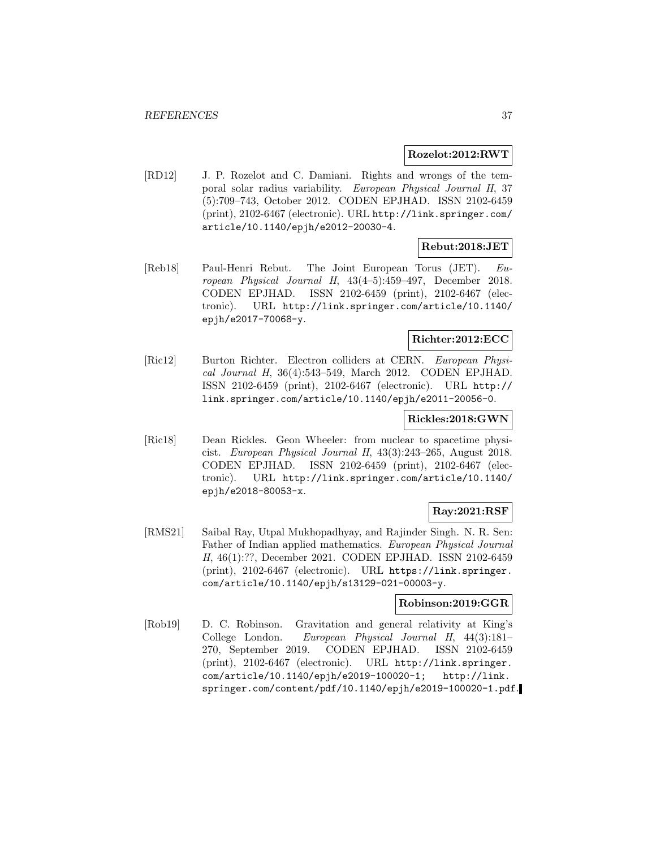#### **Rozelot:2012:RWT**

[RD12] J. P. Rozelot and C. Damiani. Rights and wrongs of the temporal solar radius variability. European Physical Journal H, 37 (5):709–743, October 2012. CODEN EPJHAD. ISSN 2102-6459 (print), 2102-6467 (electronic). URL http://link.springer.com/ article/10.1140/epjh/e2012-20030-4.

# **Rebut:2018:JET**

[Reb18] Paul-Henri Rebut. The Joint European Torus (JET). European Physical Journal H, 43(4–5):459–497, December 2018. CODEN EPJHAD. ISSN 2102-6459 (print), 2102-6467 (electronic). URL http://link.springer.com/article/10.1140/ epjh/e2017-70068-y.

# **Richter:2012:ECC**

[Ric12] Burton Richter. Electron colliders at CERN. European Physical Journal H, 36(4):543–549, March 2012. CODEN EPJHAD. ISSN 2102-6459 (print), 2102-6467 (electronic). URL http:// link.springer.com/article/10.1140/epjh/e2011-20056-0.

### **Rickles:2018:GWN**

[Ric18] Dean Rickles. Geon Wheeler: from nuclear to spacetime physicist. European Physical Journal H, 43(3):243–265, August 2018. CODEN EPJHAD. ISSN 2102-6459 (print), 2102-6467 (electronic). URL http://link.springer.com/article/10.1140/ epjh/e2018-80053-x.

# **Ray:2021:RSF**

[RMS21] Saibal Ray, Utpal Mukhopadhyay, and Rajinder Singh. N. R. Sen: Father of Indian applied mathematics. European Physical Journal H, 46(1):??, December 2021. CODEN EPJHAD. ISSN 2102-6459 (print), 2102-6467 (electronic). URL https://link.springer. com/article/10.1140/epjh/s13129-021-00003-y.

#### **Robinson:2019:GGR**

[Rob19] D. C. Robinson. Gravitation and general relativity at King's College London. European Physical Journal H, 44(3):181– 270, September 2019. CODEN EPJHAD. ISSN 2102-6459 (print), 2102-6467 (electronic). URL http://link.springer. com/article/10.1140/epjh/e2019-100020-1; http://link. springer.com/content/pdf/10.1140/epjh/e2019-100020-1.pdf.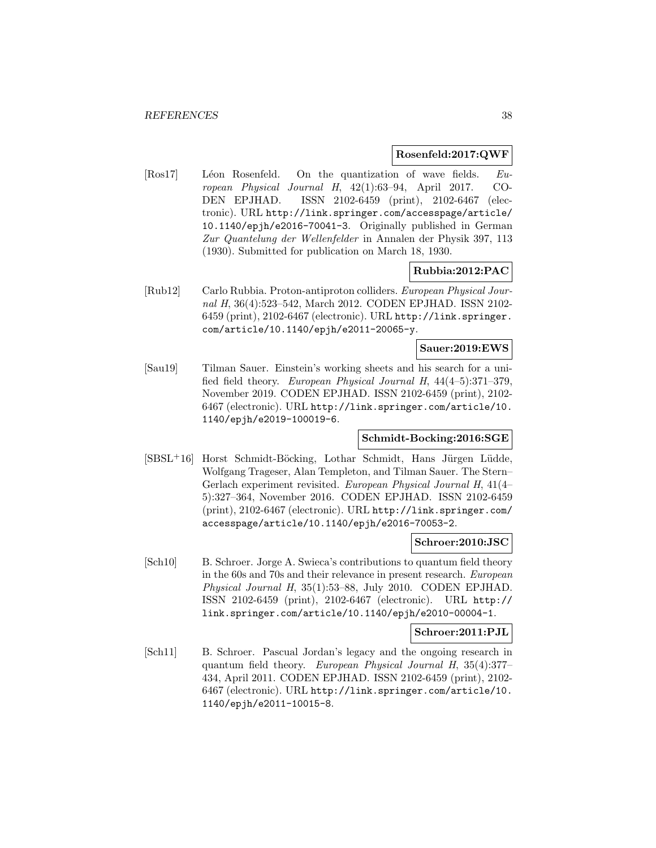#### **Rosenfeld:2017:QWF**

[Ros17] Léon Rosenfeld. On the quantization of wave fields.  $Eu$ ropean Physical Journal H, 42(1):63–94, April 2017. CO-DEN EPJHAD. ISSN 2102-6459 (print), 2102-6467 (electronic). URL http://link.springer.com/accesspage/article/ 10.1140/epjh/e2016-70041-3. Originally published in German Zur Quantelung der Wellenfelder in Annalen der Physik 397, 113 (1930). Submitted for publication on March 18, 1930.

### **Rubbia:2012:PAC**

[Rub12] Carlo Rubbia. Proton-antiproton colliders. European Physical Journal H, 36(4):523–542, March 2012. CODEN EPJHAD. ISSN 2102- 6459 (print), 2102-6467 (electronic). URL http://link.springer. com/article/10.1140/epjh/e2011-20065-y.

#### **Sauer:2019:EWS**

[Sau19] Tilman Sauer. Einstein's working sheets and his search for a unified field theory. European Physical Journal H, 44(4–5):371–379, November 2019. CODEN EPJHAD. ISSN 2102-6459 (print), 2102- 6467 (electronic). URL http://link.springer.com/article/10. 1140/epjh/e2019-100019-6.

#### **Schmidt-Bocking:2016:SGE**

[SBSL<sup>+</sup>16] Horst Schmidt-Böcking, Lothar Schmidt, Hans Jürgen Lüdde, Wolfgang Trageser, Alan Templeton, and Tilman Sauer. The Stern– Gerlach experiment revisited. European Physical Journal H, 41(4– 5):327–364, November 2016. CODEN EPJHAD. ISSN 2102-6459 (print), 2102-6467 (electronic). URL http://link.springer.com/ accesspage/article/10.1140/epjh/e2016-70053-2.

#### **Schroer:2010:JSC**

[Sch10] B. Schroer. Jorge A. Swieca's contributions to quantum field theory in the 60s and 70s and their relevance in present research. European Physical Journal H, 35(1):53–88, July 2010. CODEN EPJHAD. ISSN 2102-6459 (print), 2102-6467 (electronic). URL http:// link.springer.com/article/10.1140/epjh/e2010-00004-1.

#### **Schroer:2011:PJL**

[Sch11] B. Schroer. Pascual Jordan's legacy and the ongoing research in quantum field theory. European Physical Journal H, 35(4):377– 434, April 2011. CODEN EPJHAD. ISSN 2102-6459 (print), 2102- 6467 (electronic). URL http://link.springer.com/article/10. 1140/epjh/e2011-10015-8.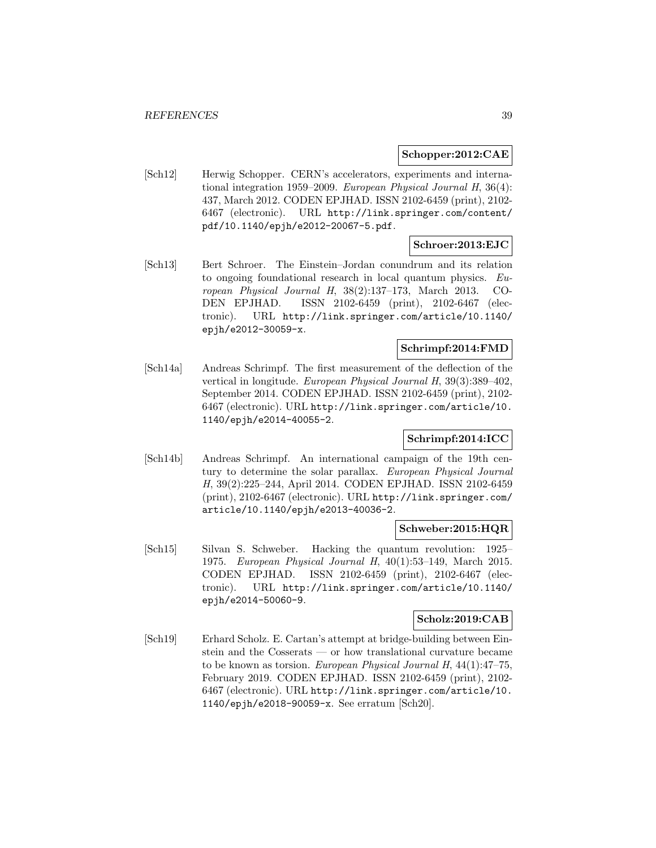### **Schopper:2012:CAE**

[Sch12] Herwig Schopper. CERN's accelerators, experiments and international integration 1959–2009. European Physical Journal H, 36(4): 437, March 2012. CODEN EPJHAD. ISSN 2102-6459 (print), 2102- 6467 (electronic). URL http://link.springer.com/content/ pdf/10.1140/epjh/e2012-20067-5.pdf.

# **Schroer:2013:EJC**

[Sch13] Bert Schroer. The Einstein–Jordan conundrum and its relation to ongoing foundational research in local quantum physics. European Physical Journal H, 38(2):137–173, March 2013. CO-DEN EPJHAD. ISSN 2102-6459 (print), 2102-6467 (electronic). URL http://link.springer.com/article/10.1140/ epjh/e2012-30059-x.

#### **Schrimpf:2014:FMD**

[Sch14a] Andreas Schrimpf. The first measurement of the deflection of the vertical in longitude. European Physical Journal H, 39(3):389–402, September 2014. CODEN EPJHAD. ISSN 2102-6459 (print), 2102- 6467 (electronic). URL http://link.springer.com/article/10. 1140/epjh/e2014-40055-2.

# **Schrimpf:2014:ICC**

[Sch14b] Andreas Schrimpf. An international campaign of the 19th century to determine the solar parallax. European Physical Journal H, 39(2):225–244, April 2014. CODEN EPJHAD. ISSN 2102-6459 (print), 2102-6467 (electronic). URL http://link.springer.com/ article/10.1140/epjh/e2013-40036-2.

#### **Schweber:2015:HQR**

[Sch15] Silvan S. Schweber. Hacking the quantum revolution: 1925– 1975. European Physical Journal H, 40(1):53–149, March 2015. CODEN EPJHAD. ISSN 2102-6459 (print), 2102-6467 (electronic). URL http://link.springer.com/article/10.1140/ epjh/e2014-50060-9.

# **Scholz:2019:CAB**

[Sch19] Erhard Scholz. E. Cartan's attempt at bridge-building between Einstein and the Cosserats — or how translational curvature became to be known as torsion. European Physical Journal H, 44(1):47–75, February 2019. CODEN EPJHAD. ISSN 2102-6459 (print), 2102- 6467 (electronic). URL http://link.springer.com/article/10. 1140/epjh/e2018-90059-x. See erratum [Sch20].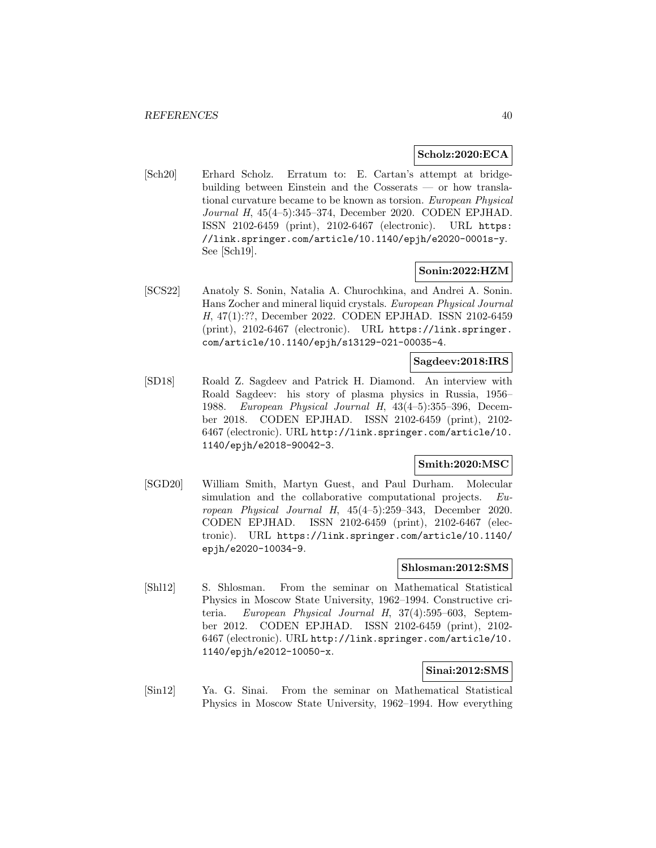#### **Scholz:2020:ECA**

[Sch20] Erhard Scholz. Erratum to: E. Cartan's attempt at bridgebuilding between Einstein and the Cosserats — or how translational curvature became to be known as torsion. European Physical Journal H, 45(4–5):345–374, December 2020. CODEN EPJHAD. ISSN 2102-6459 (print), 2102-6467 (electronic). URL https: //link.springer.com/article/10.1140/epjh/e2020-0001s-y. See [Sch19].

#### **Sonin:2022:HZM**

[SCS22] Anatoly S. Sonin, Natalia A. Churochkina, and Andrei A. Sonin. Hans Zocher and mineral liquid crystals. European Physical Journal H, 47(1):??, December 2022. CODEN EPJHAD. ISSN 2102-6459 (print), 2102-6467 (electronic). URL https://link.springer. com/article/10.1140/epjh/s13129-021-00035-4.

#### **Sagdeev:2018:IRS**

[SD18] Roald Z. Sagdeev and Patrick H. Diamond. An interview with Roald Sagdeev: his story of plasma physics in Russia, 1956– 1988. European Physical Journal H, 43(4–5):355–396, December 2018. CODEN EPJHAD. ISSN 2102-6459 (print), 2102- 6467 (electronic). URL http://link.springer.com/article/10. 1140/epjh/e2018-90042-3.

# **Smith:2020:MSC**

[SGD20] William Smith, Martyn Guest, and Paul Durham. Molecular simulation and the collaborative computational projects. European Physical Journal H, 45(4–5):259–343, December 2020. CODEN EPJHAD. ISSN 2102-6459 (print), 2102-6467 (electronic). URL https://link.springer.com/article/10.1140/ epjh/e2020-10034-9.

#### **Shlosman:2012:SMS**

[Shl12] S. Shlosman. From the seminar on Mathematical Statistical Physics in Moscow State University, 1962–1994. Constructive criteria. European Physical Journal H, 37(4):595–603, September 2012. CODEN EPJHAD. ISSN 2102-6459 (print), 2102- 6467 (electronic). URL http://link.springer.com/article/10. 1140/epjh/e2012-10050-x.

# **Sinai:2012:SMS**

[Sin12] Ya. G. Sinai. From the seminar on Mathematical Statistical Physics in Moscow State University, 1962–1994. How everything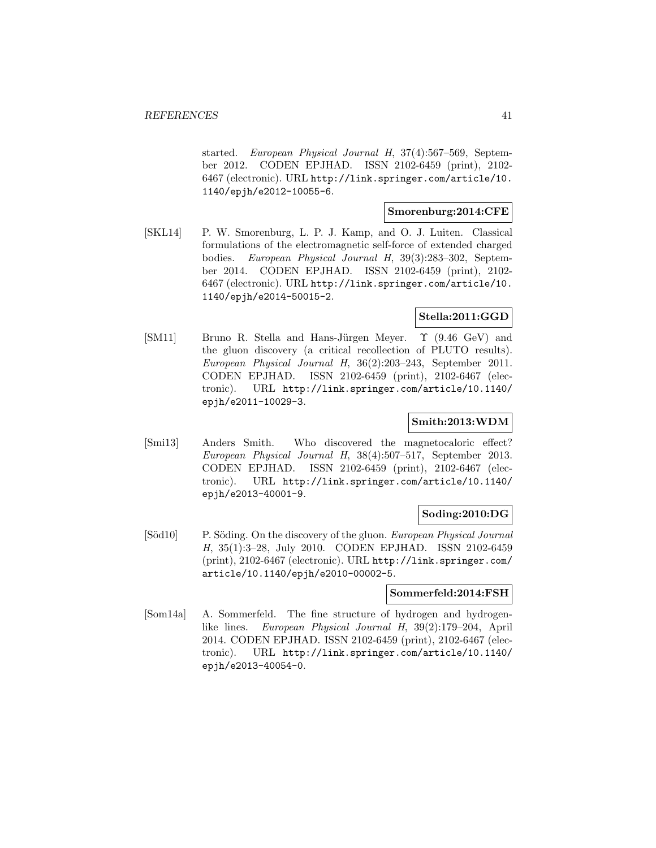started. European Physical Journal H, 37(4):567–569, September 2012. CODEN EPJHAD. ISSN 2102-6459 (print), 2102- 6467 (electronic). URL http://link.springer.com/article/10. 1140/epjh/e2012-10055-6.

# **Smorenburg:2014:CFE**

[SKL14] P. W. Smorenburg, L. P. J. Kamp, and O. J. Luiten. Classical formulations of the electromagnetic self-force of extended charged bodies. European Physical Journal H, 39(3):283–302, September 2014. CODEN EPJHAD. ISSN 2102-6459 (print), 2102- 6467 (electronic). URL http://link.springer.com/article/10. 1140/epjh/e2014-50015-2.

# **Stella:2011:GGD**

[SM11] Bruno R. Stella and Hans-Jürgen Meyer.  $\Upsilon$  (9.46 GeV) and the gluon discovery (a critical recollection of PLUTO results). European Physical Journal H, 36(2):203–243, September 2011. CODEN EPJHAD. ISSN 2102-6459 (print), 2102-6467 (electronic). URL http://link.springer.com/article/10.1140/ epjh/e2011-10029-3.

### **Smith:2013:WDM**

[Smi13] Anders Smith. Who discovered the magnetocaloric effect? European Physical Journal H, 38(4):507–517, September 2013. CODEN EPJHAD. ISSN 2102-6459 (print), 2102-6467 (electronic). URL http://link.springer.com/article/10.1140/ epjh/e2013-40001-9.

# **Soding:2010:DG**

[Söd10] P. Söding. On the discovery of the gluon. European Physical Journal H, 35(1):3–28, July 2010. CODEN EPJHAD. ISSN 2102-6459 (print), 2102-6467 (electronic). URL http://link.springer.com/ article/10.1140/epjh/e2010-00002-5.

#### **Sommerfeld:2014:FSH**

[Som14a] A. Sommerfeld. The fine structure of hydrogen and hydrogenlike lines. European Physical Journal H, 39(2):179–204, April 2014. CODEN EPJHAD. ISSN 2102-6459 (print), 2102-6467 (electronic). URL http://link.springer.com/article/10.1140/ epjh/e2013-40054-0.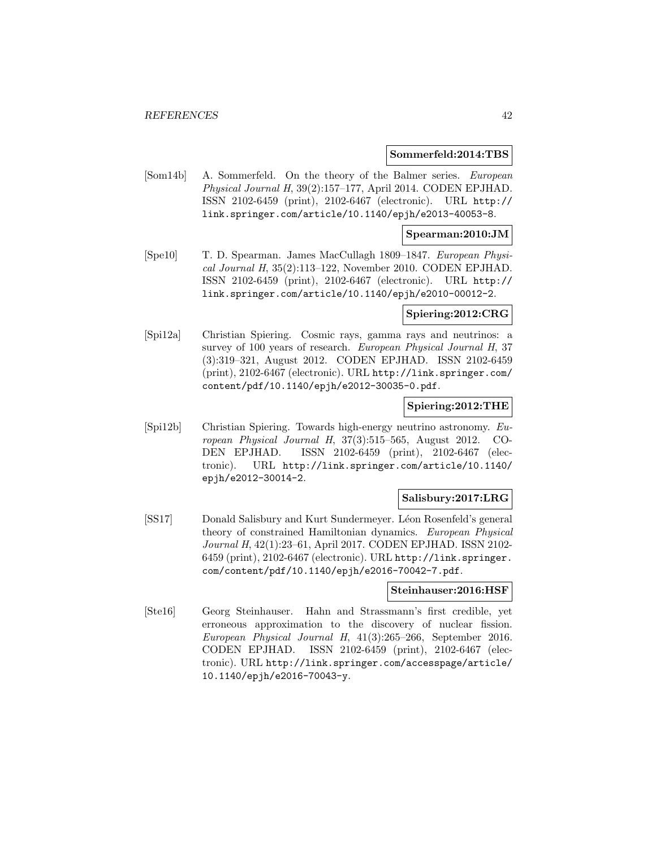#### **Sommerfeld:2014:TBS**

[Som14b] A. Sommerfeld. On the theory of the Balmer series. European Physical Journal H, 39(2):157–177, April 2014. CODEN EPJHAD. ISSN 2102-6459 (print), 2102-6467 (electronic). URL http:// link.springer.com/article/10.1140/epjh/e2013-40053-8.

#### **Spearman:2010:JM**

[Spe10] T. D. Spearman. James MacCullagh 1809–1847. European Physical Journal H, 35(2):113–122, November 2010. CODEN EPJHAD. ISSN 2102-6459 (print), 2102-6467 (electronic). URL http:// link.springer.com/article/10.1140/epjh/e2010-00012-2.

#### **Spiering:2012:CRG**

[Spi12a] Christian Spiering. Cosmic rays, gamma rays and neutrinos: a survey of 100 years of research. European Physical Journal H, 37 (3):319–321, August 2012. CODEN EPJHAD. ISSN 2102-6459 (print), 2102-6467 (electronic). URL http://link.springer.com/ content/pdf/10.1140/epjh/e2012-30035-0.pdf.

#### **Spiering:2012:THE**

[Spi12b] Christian Spiering. Towards high-energy neutrino astronomy. European Physical Journal H, 37(3):515–565, August 2012. CO-DEN EPJHAD. ISSN 2102-6459 (print), 2102-6467 (electronic). URL http://link.springer.com/article/10.1140/ epjh/e2012-30014-2.

#### **Salisbury:2017:LRG**

[SS17] Donald Salisbury and Kurt Sundermeyer. Léon Rosenfeld's general theory of constrained Hamiltonian dynamics. European Physical Journal H, 42(1):23–61, April 2017. CODEN EPJHAD. ISSN 2102- 6459 (print), 2102-6467 (electronic). URL http://link.springer. com/content/pdf/10.1140/epjh/e2016-70042-7.pdf.

#### **Steinhauser:2016:HSF**

[Ste16] Georg Steinhauser. Hahn and Strassmann's first credible, yet erroneous approximation to the discovery of nuclear fission. European Physical Journal H, 41(3):265–266, September 2016. CODEN EPJHAD. ISSN 2102-6459 (print), 2102-6467 (electronic). URL http://link.springer.com/accesspage/article/ 10.1140/epjh/e2016-70043-y.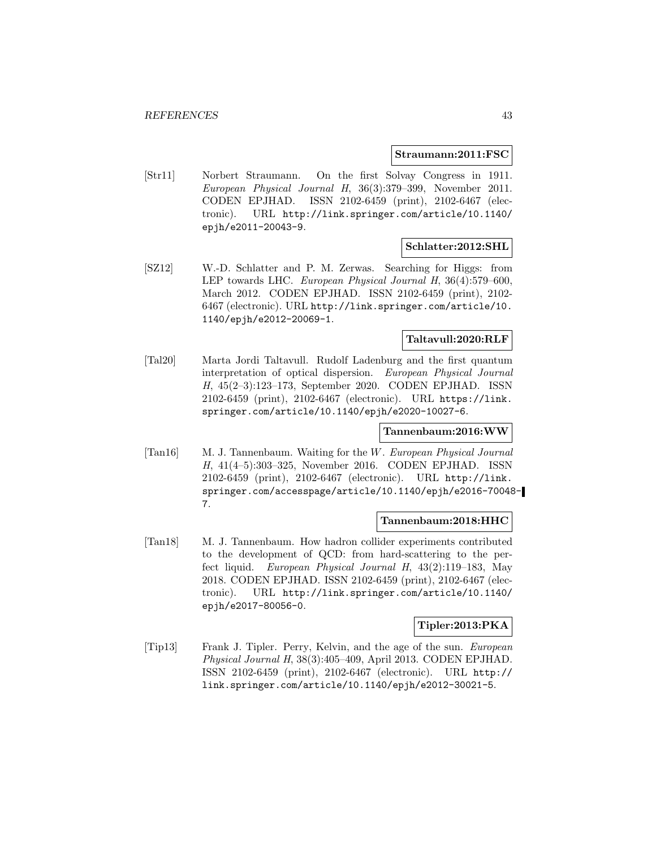#### **Straumann:2011:FSC**

[Str11] Norbert Straumann. On the first Solvay Congress in 1911. European Physical Journal H, 36(3):379–399, November 2011. CODEN EPJHAD. ISSN 2102-6459 (print), 2102-6467 (electronic). URL http://link.springer.com/article/10.1140/ epjh/e2011-20043-9.

# **Schlatter:2012:SHL**

[SZ12] W.-D. Schlatter and P. M. Zerwas. Searching for Higgs: from LEP towards LHC. European Physical Journal H, 36(4):579–600, March 2012. CODEN EPJHAD. ISSN 2102-6459 (print), 2102- 6467 (electronic). URL http://link.springer.com/article/10. 1140/epjh/e2012-20069-1.

# **Taltavull:2020:RLF**

[Tal20] Marta Jordi Taltavull. Rudolf Ladenburg and the first quantum interpretation of optical dispersion. European Physical Journal H, 45(2–3):123–173, September 2020. CODEN EPJHAD. ISSN 2102-6459 (print), 2102-6467 (electronic). URL https://link. springer.com/article/10.1140/epjh/e2020-10027-6.

#### **Tannenbaum:2016:WW**

[Tan16] M. J. Tannenbaum. Waiting for the W. European Physical Journal H, 41(4–5):303–325, November 2016. CODEN EPJHAD. ISSN 2102-6459 (print), 2102-6467 (electronic). URL http://link. springer.com/accesspage/article/10.1140/epjh/e2016-70048- 7.

#### **Tannenbaum:2018:HHC**

[Tan18] M. J. Tannenbaum. How hadron collider experiments contributed to the development of QCD: from hard-scattering to the perfect liquid. European Physical Journal H, 43(2):119–183, May 2018. CODEN EPJHAD. ISSN 2102-6459 (print), 2102-6467 (electronic). URL http://link.springer.com/article/10.1140/ epjh/e2017-80056-0.

# **Tipler:2013:PKA**

[Tip13] Frank J. Tipler. Perry, Kelvin, and the age of the sun. European Physical Journal H, 38(3):405–409, April 2013. CODEN EPJHAD. ISSN 2102-6459 (print), 2102-6467 (electronic). URL http:// link.springer.com/article/10.1140/epjh/e2012-30021-5.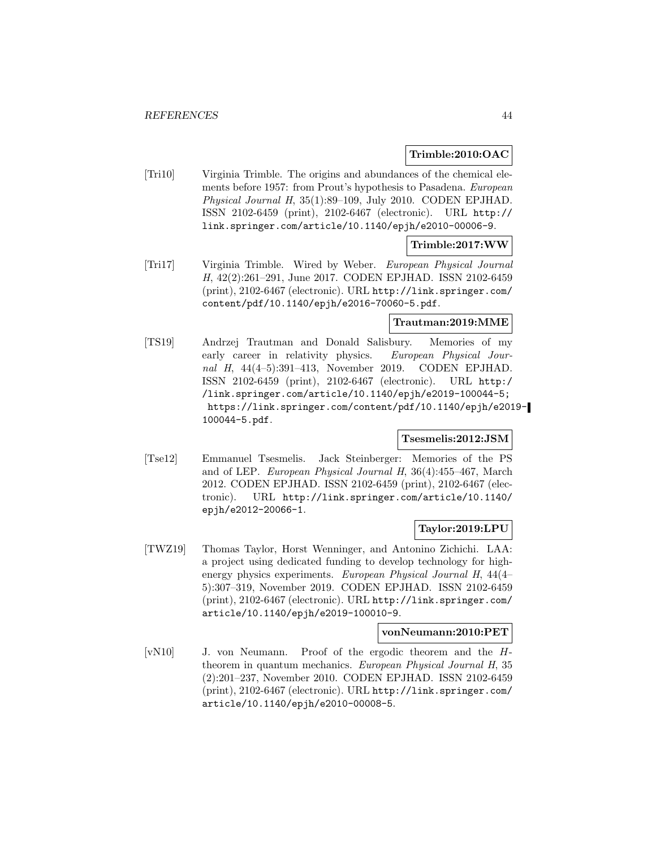#### **Trimble:2010:OAC**

[Tri10] Virginia Trimble. The origins and abundances of the chemical elements before 1957: from Prout's hypothesis to Pasadena. European Physical Journal H, 35(1):89–109, July 2010. CODEN EPJHAD. ISSN 2102-6459 (print), 2102-6467 (electronic). URL http:// link.springer.com/article/10.1140/epjh/e2010-00006-9.

#### **Trimble:2017:WW**

[Tri17] Virginia Trimble. Wired by Weber. European Physical Journal H, 42(2):261–291, June 2017. CODEN EPJHAD. ISSN 2102-6459 (print), 2102-6467 (electronic). URL http://link.springer.com/ content/pdf/10.1140/epjh/e2016-70060-5.pdf.

#### **Trautman:2019:MME**

[TS19] Andrzej Trautman and Donald Salisbury. Memories of my early career in relativity physics. European Physical Journal H, 44(4-5):391-413, November 2019. CODEN EPJHAD. ISSN 2102-6459 (print), 2102-6467 (electronic). URL http:/ /link.springer.com/article/10.1140/epjh/e2019-100044-5; https://link.springer.com/content/pdf/10.1140/epjh/e2019- 100044-5.pdf.

### **Tsesmelis:2012:JSM**

[Tse12] Emmanuel Tsesmelis. Jack Steinberger: Memories of the PS and of LEP. European Physical Journal H, 36(4):455–467, March 2012. CODEN EPJHAD. ISSN 2102-6459 (print), 2102-6467 (electronic). URL http://link.springer.com/article/10.1140/ epjh/e2012-20066-1.

# **Taylor:2019:LPU**

[TWZ19] Thomas Taylor, Horst Wenninger, and Antonino Zichichi. LAA: a project using dedicated funding to develop technology for highenergy physics experiments. European Physical Journal H, 44(4– 5):307–319, November 2019. CODEN EPJHAD. ISSN 2102-6459 (print), 2102-6467 (electronic). URL http://link.springer.com/ article/10.1140/epjh/e2019-100010-9.

#### **vonNeumann:2010:PET**

[vN10] J. von Neumann. Proof of the ergodic theorem and the Htheorem in quantum mechanics. European Physical Journal H, 35 (2):201–237, November 2010. CODEN EPJHAD. ISSN 2102-6459 (print), 2102-6467 (electronic). URL http://link.springer.com/ article/10.1140/epjh/e2010-00008-5.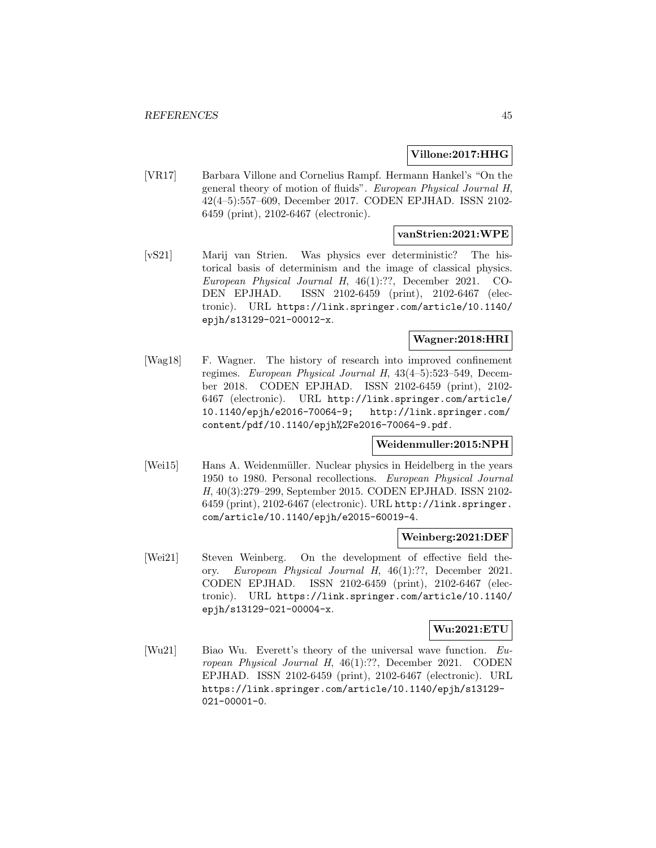# **Villone:2017:HHG**

[VR17] Barbara Villone and Cornelius Rampf. Hermann Hankel's "On the general theory of motion of fluids". European Physical Journal H, 42(4–5):557–609, December 2017. CODEN EPJHAD. ISSN 2102- 6459 (print), 2102-6467 (electronic).

# **vanStrien:2021:WPE**

[vS21] Marij van Strien. Was physics ever deterministic? The historical basis of determinism and the image of classical physics. European Physical Journal H, 46(1):??, December 2021. CO-DEN EPJHAD. ISSN 2102-6459 (print), 2102-6467 (electronic). URL https://link.springer.com/article/10.1140/ epjh/s13129-021-00012-x.

# **Wagner:2018:HRI**

[Wag18] F. Wagner. The history of research into improved confinement regimes. European Physical Journal H, 43(4–5):523–549, December 2018. CODEN EPJHAD. ISSN 2102-6459 (print), 2102- 6467 (electronic). URL http://link.springer.com/article/ 10.1140/epjh/e2016-70064-9; http://link.springer.com/ content/pdf/10.1140/epjh%2Fe2016-70064-9.pdf.

# **Weidenmuller:2015:NPH**

[Wei15] Hans A. Weidenmüller. Nuclear physics in Heidelberg in the years 1950 to 1980. Personal recollections. European Physical Journal H, 40(3):279–299, September 2015. CODEN EPJHAD. ISSN 2102- 6459 (print), 2102-6467 (electronic). URL http://link.springer. com/article/10.1140/epjh/e2015-60019-4.

#### **Weinberg:2021:DEF**

[Wei21] Steven Weinberg. On the development of effective field theory. European Physical Journal H, 46(1):??, December 2021. CODEN EPJHAD. ISSN 2102-6459 (print), 2102-6467 (electronic). URL https://link.springer.com/article/10.1140/ epjh/s13129-021-00004-x.

# **Wu:2021:ETU**

[Wu21] Biao Wu. Everett's theory of the universal wave function. European Physical Journal H, 46(1):??, December 2021. CODEN EPJHAD. ISSN 2102-6459 (print), 2102-6467 (electronic). URL https://link.springer.com/article/10.1140/epjh/s13129- 021-00001-0.